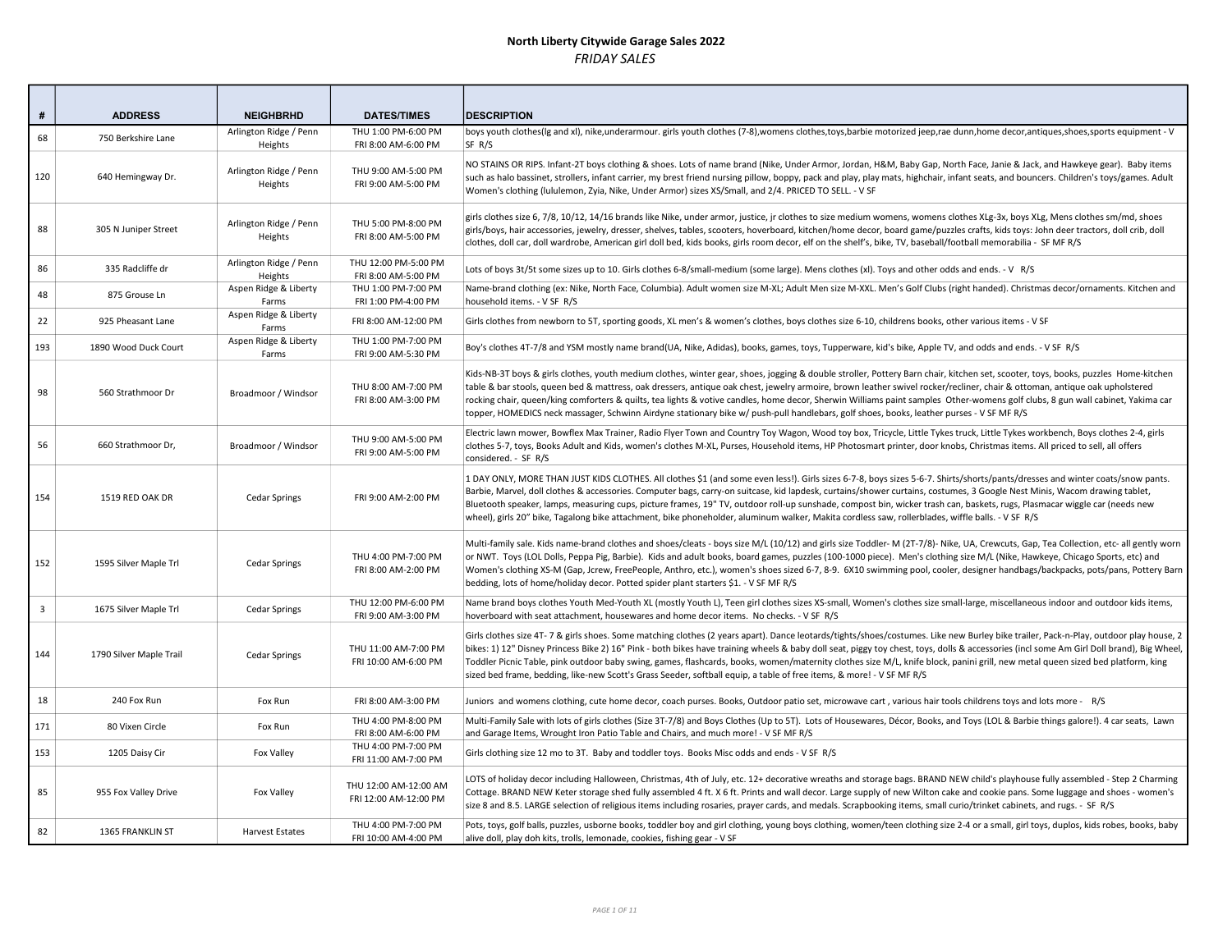| #              | <b>ADDRESS</b>          | <b>NEIGHBRHD</b>                  | <b>DATES/TIMES</b>                             | <b>DESCRIPTION</b>                                                                                                                                                                                                                                                                                                                                                                                                                                                                                                                                                                                                                                                                            |
|----------------|-------------------------|-----------------------------------|------------------------------------------------|-----------------------------------------------------------------------------------------------------------------------------------------------------------------------------------------------------------------------------------------------------------------------------------------------------------------------------------------------------------------------------------------------------------------------------------------------------------------------------------------------------------------------------------------------------------------------------------------------------------------------------------------------------------------------------------------------|
| 68             | 750 Berkshire Lane      | Arlington Ridge / Penn<br>Heights | THU 1:00 PM-6:00 PM<br>FRI 8:00 AM-6:00 PM     | boys youth clothes(Ig and xI), nike,underarmour. girls youth clothes (7-8),womens clothes,toys,barbie motorized jeep,rae dunn,home decor,antiques,shoes,sports equipment - V<br>SF R/S                                                                                                                                                                                                                                                                                                                                                                                                                                                                                                        |
| 120            | 640 Hemingway Dr.       | Arlington Ridge / Penn<br>Heights | THU 9:00 AM-5:00 PM<br>FRI 9:00 AM-5:00 PM     | NO STAINS OR RIPS. Infant-2T boys clothing & shoes. Lots of name brand (Nike, Under Armor, Jordan, H&M, Baby Gap, North Face, Janie & Jack, and Hawkeye gear). Baby items<br>such as halo bassinet, strollers, infant carrier, my brest friend nursing pillow, boppy, pack and play, play mats, highchair, infant seats, and bouncers. Children's toys/games. Adult<br>Women's clothing (lululemon, Zyia, Nike, Under Armor) sizes XS/Small, and 2/4. PRICED TO SELL. - V SF                                                                                                                                                                                                                  |
| 88             | 305 N Juniper Street    | Arlington Ridge / Penn<br>Heights | THU 5:00 PM-8:00 PM<br>FRI 8:00 AM-5:00 PM     | girls clothes size 6, 7/8, 10/12, 14/16 brands like Nike, under armor, justice, ir clothes to size medium womens, womens clothes XLg-3x, boys XLg, Mens clothes sm/md, shoes<br>girls/boys, hair accessories, jewelry, dresser, shelves, tables, scooters, hoverboard, kitchen/home decor, board game/puzzles crafts, kids toys: John deer tractors, doll crib, doll<br>clothes, doll car, doll wardrobe, American girl doll bed, kids books, girls room decor, elf on the shelf's, bike, TV, baseball/football memorabilia - SF MF R/S                                                                                                                                                       |
| 86             | 335 Radcliffe dr        | Arlington Ridge / Penn<br>Heights | THU 12:00 PM-5:00 PM<br>FRI 8:00 AM-5:00 PM    | Lots of boys 3t/5t some sizes up to 10. Girls clothes 6-8/small-medium (some large). Mens clothes (xl). Toys and other odds and ends. - V R/S                                                                                                                                                                                                                                                                                                                                                                                                                                                                                                                                                 |
| 48             | 875 Grouse Ln           | Aspen Ridge & Liberty<br>Farms    | THU 1:00 PM-7:00 PM<br>FRI 1:00 PM-4:00 PM     | Name-brand clothing (ex: Nike, North Face, Columbia). Adult women size M-XL; Adult Men size M-XXL. Men's Golf Clubs (right handed). Christmas decor/ornaments. Kitchen and<br>household items. - V SF R/S                                                                                                                                                                                                                                                                                                                                                                                                                                                                                     |
| 22             | 925 Pheasant Lane       | Aspen Ridge & Liberty<br>Farms    | FRI 8:00 AM-12:00 PM                           | Girls clothes from newborn to 5T, sporting goods, XL men's & women's clothes, boys clothes size 6-10, childrens books, other various items - V SF                                                                                                                                                                                                                                                                                                                                                                                                                                                                                                                                             |
| 193            | 1890 Wood Duck Court    | Aspen Ridge & Liberty<br>Farms    | THU 1:00 PM-7:00 PM<br>FRI 9:00 AM-5:30 PM     | Boy's clothes 4T-7/8 and YSM mostly name brand(UA, Nike, Adidas), books, games, toys, Tupperware, kid's bike, Apple TV, and odds and ends. - V SF R/S                                                                                                                                                                                                                                                                                                                                                                                                                                                                                                                                         |
| 98             | 560 Strathmoor Dr       | Broadmoor / Windsor               | THU 8:00 AM-7:00 PM<br>FRI 8:00 AM-3:00 PM     | Kids-NB-3T boys & girls clothes, youth medium clothes, winter gear, shoes, jogging & double stroller, Pottery Barn chair, kitchen set, scooter, toys, books, puzzles Home-kitchen<br>table & bar stools, queen bed & mattress, oak dressers, antique oak chest, jewelry armoire, brown leather swivel rocker/recliner, chair & ottoman, antique oak upholstered<br>rocking chair, queen/king comforters & quilts, tea lights & votive candles, home decor, Sherwin Williams paint samples Other-womens golf clubs, 8 gun wall cabinet, Yakima car<br>topper, HOMEDICS neck massager, Schwinn Airdyne stationary bike w/ push-pull handlebars, golf shoes, books, leather purses - V SF MF R/S |
| 56             | 660 Strathmoor Dr,      | Broadmoor / Windsor               | THU 9:00 AM-5:00 PM<br>FRI 9:00 AM-5:00 PM     | Electric lawn mower, Bowflex Max Trainer, Radio Flyer Town and Country Toy Wagon, Wood toy box, Tricycle, Little Tykes truck, Little Tykes workbench, Boys clothes 2-4, girls<br>clothes 5-7, toys, Books Adult and Kids, women's clothes M-XL, Purses, Household items, HP Photosmart printer, door knobs, Christmas items. All priced to sell, all offers<br>considered. - SF R/S                                                                                                                                                                                                                                                                                                           |
| 154            | 1519 RED OAK DR         | Cedar Springs                     | FRI 9:00 AM-2:00 PM                            | 1 DAY ONLY, MORE THAN JUST KIDS CLOTHES. All clothes \$1 (and some even less!). Girls sizes 6-7-8, boys sizes 5-6-7. Shirts/shorts/pants/dresses and winter coats/snow pants.<br>Barbie, Marvel, doll clothes & accessories. Computer bags, carry-on suitcase, kid lapdesk, curtains/shower curtains, costumes, 3 Google Nest Minis, Wacom drawing tablet,<br>Bluetooth speaker, lamps, measuring cups, picture frames, 19" TV, outdoor roll-up sunshade, compost bin, wicker trash can, baskets, rugs, Plasmacar wiggle car (needs new<br>wheel), girls 20" bike, Tagalong bike attachment, bike phoneholder, aluminum walker, Makita cordless saw, rollerblades, wiffle balls. - V SF R/S   |
| 152            | 1595 Silver Maple Trl   | Cedar Springs                     | THU 4:00 PM-7:00 PM<br>FRI 8:00 AM-2:00 PM     | Multi-family sale. Kids name-brand clothes and shoes/cleats - boys size M/L (10/12) and girls size Toddler- M (2T-7/8)- Nike, UA, Crewcuts, Gap, Tea Collection, etc- all gently worn<br>or NWT. Toys (LOL Dolls, Peppa Pig, Barbie). Kids and adult books, board games, puzzles (100-1000 piece). Men's clothing size M/L (Nike, Hawkeye, Chicago Sports, etc) and<br>Women's clothing XS-M (Gap, Jcrew, FreePeople, Anthro, etc.), women's shoes sized 6-7, 8-9. 6X10 swimming pool, cooler, designer handbags/backpacks, pots/pans, Pottery Barn<br>bedding, lots of home/holiday decor. Potted spider plant starters \$1. - V SF MF R/S                                                   |
| $\overline{3}$ | 1675 Silver Maple Trl   | Cedar Springs                     | THU 12:00 PM-6:00 PM<br>FRI 9:00 AM-3:00 PM    | Name brand boys clothes Youth Med-Youth XL (mostly Youth L), Teen girl clothes sizes XS-small, Women's clothes size small-large, miscellaneous indoor and outdoor kids items,<br>hoverboard with seat attachment, housewares and home decor items. No checks. - V SF R/S                                                                                                                                                                                                                                                                                                                                                                                                                      |
| 144            | 1790 Silver Maple Trail | <b>Cedar Springs</b>              | THU 11:00 AM-7:00 PM<br>FRI 10:00 AM-6:00 PM   | Girls clothes size 4T-7 & girls shoes. Some matching clothes (2 years apart). Dance leotards/tights/shoes/costumes. Like new Burley bike trailer, Pack-n-Play, outdoor play house, 2<br>bikes: 1) 12" Disney Princess Bike 2) 16" Pink - both bikes have training wheels & baby doll seat, piggy toy chest, toys, dolls & accessories (incl some Am Girl Doll brand), Big Wheel,<br>Toddler Picnic Table, pink outdoor baby swing, games, flashcards, books, women/maternity clothes size M/L, knife block, panini grill, new metal queen sized bed platform, king<br>sized bed frame, bedding, like-new Scott's Grass Seeder, softball equip, a table of free items, & more! - V SF MF R/S   |
| 18             | 240 Fox Run             | Fox Run                           | FRI 8:00 AM-3:00 PM                            | Juniors and womens clothing, cute home decor, coach purses. Books, Outdoor patio set, microwave cart, various hair tools childrens toys and lots more - R/S                                                                                                                                                                                                                                                                                                                                                                                                                                                                                                                                   |
| 171            | 80 Vixen Circle         | Fox Run                           | THU 4:00 PM-8:00 PM<br>FRI 8:00 AM-6:00 PM     | Multi-Family Sale with lots of girls clothes (Size 3T-7/8) and Boys Clothes (Up to 5T). Lots of Housewares, Décor, Books, and Toys (LOL & Barbie things galore!). 4 car seats, Lawn<br>and Garage Items, Wrought Iron Patio Table and Chairs, and much more! - V SF MF R/S                                                                                                                                                                                                                                                                                                                                                                                                                    |
| 153            | 1205 Daisy Cir          | Fox Valley                        | THU 4:00 PM-7:00 PM<br>FRI 11:00 AM-7:00 PM    | Girls clothing size 12 mo to 3T. Baby and toddler toys. Books Misc odds and ends - V SF R/S                                                                                                                                                                                                                                                                                                                                                                                                                                                                                                                                                                                                   |
| 85             | 955 Fox Valley Drive    | <b>Fox Valley</b>                 | THU 12:00 AM-12:00 AM<br>FRI 12:00 AM-12:00 PM | LOTS of holiday decor including Halloween, Christmas, 4th of July, etc. 12+ decorative wreaths and storage bags. BRAND NEW child's playhouse fully assembled - Step 2 Charming<br>Cottage. BRAND NEW Keter storage shed fully assembled 4 ft. X 6 ft. Prints and wall decor. Large supply of new Wilton cake and cookie pans. Some luggage and shoes - women's<br>size 8 and 8.5. LARGE selection of religious items including rosaries, prayer cards, and medals. Scrapbooking items, small curio/trinket cabinets, and rugs. - SF R/S                                                                                                                                                       |
| 82             | 1365 FRANKLIN ST        | <b>Harvest Estates</b>            | THU 4:00 PM-7:00 PM<br>FRI 10:00 AM-4:00 PM    | Pots, toys, golf balls, puzzles, usborne books, toddler boy and girl clothing, young boys clothing, women/teen clothing size 2-4 or a small, girl toys, duplos, kids robes, books, baby<br>alive doll, play doh kits, trolls, lemonade, cookies, fishing gear - V SF                                                                                                                                                                                                                                                                                                                                                                                                                          |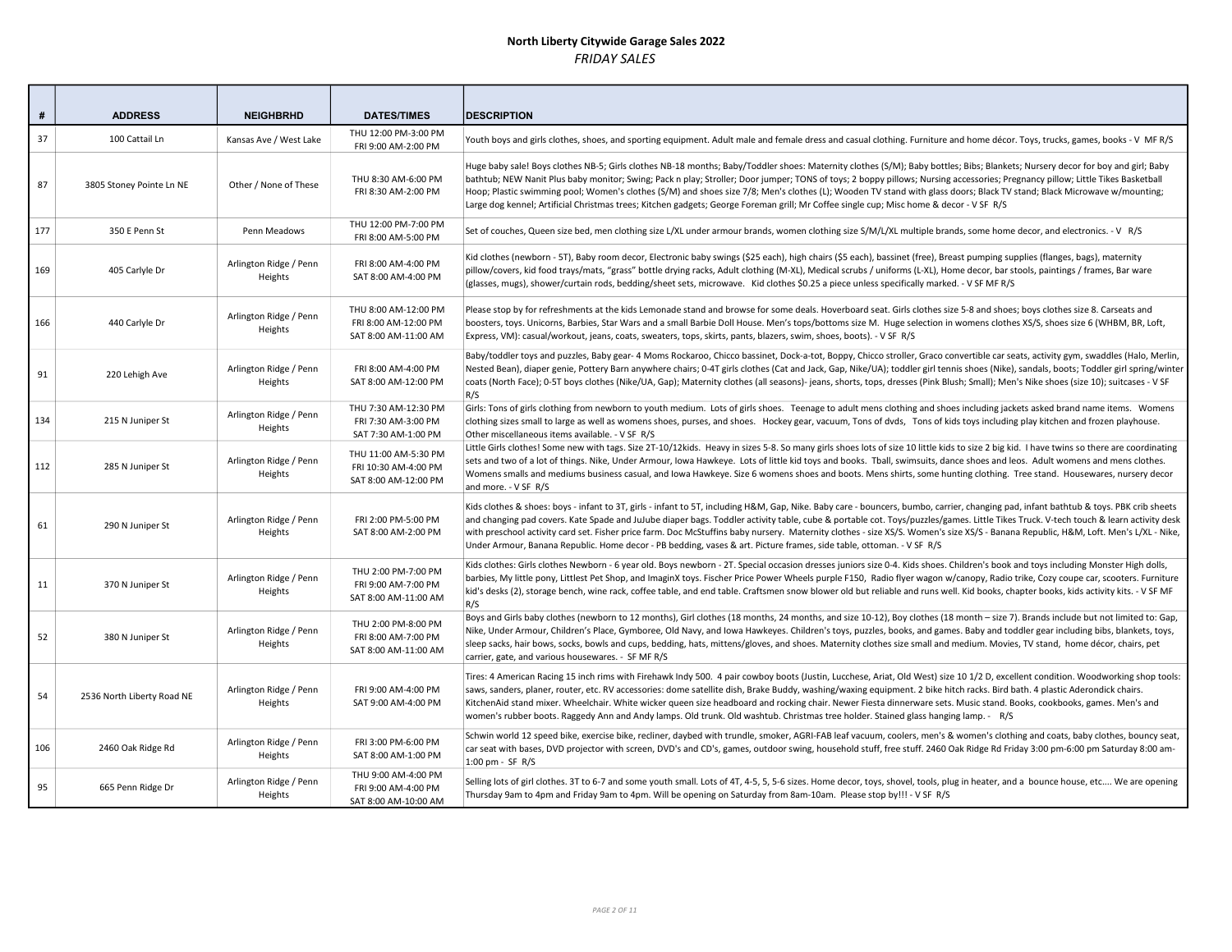| #   | <b>ADDRESS</b>             | <b>NEIGHBRHD</b>                  | <b>DATES/TIMES</b>                                                   | <b>DESCRIPTION</b>                                                                                                                                                                                                                                                                                                                                                                                                                                                                                                                                                                                                                                                                          |
|-----|----------------------------|-----------------------------------|----------------------------------------------------------------------|---------------------------------------------------------------------------------------------------------------------------------------------------------------------------------------------------------------------------------------------------------------------------------------------------------------------------------------------------------------------------------------------------------------------------------------------------------------------------------------------------------------------------------------------------------------------------------------------------------------------------------------------------------------------------------------------|
| 37  | 100 Cattail Ln             | Kansas Ave / West Lake            | THU 12:00 PM-3:00 PM<br>FRI 9:00 AM-2:00 PM                          | Youth boys and girls clothes, shoes, and sporting equipment. Adult male and female dress and casual clothing. Furniture and home décor. Toys, trucks, games, books - V MFR/S                                                                                                                                                                                                                                                                                                                                                                                                                                                                                                                |
| 87  | 3805 Stoney Pointe Ln NE   | Other / None of These             | THU 8:30 AM-6:00 PM<br>FRI 8:30 AM-2:00 PM                           | Huge baby sale! Boys clothes NB-5; Girls clothes NB-18 months; Baby/Toddler shoes: Maternity clothes (S/M); Baby bottles; Bibs; Blankets; Nursery decor for boy and girl; Baby<br>bathtub; NEW Nanit Plus baby monitor; Swing; Pack n play; Stroller; Door jumper; TONS of toys; 2 boppy pillows; Nursing accessories; Pregnancy pillow; Little Tikes Basketball<br>Hoop; Plastic swimming pool; Women's clothes (S/M) and shoes size 7/8; Men's clothes (L); Wooden TV stand with glass doors; Black TV stand; Black Microwave w/mounting;<br>Large dog kennel; Artificial Christmas trees; Kitchen gadgets; George Foreman grill; Mr Coffee single cup; Misc home & decor - V SF R/S      |
| 177 | 350 E Penn St              | Penn Meadows                      | THU 12:00 PM-7:00 PM<br>FRI 8:00 AM-5:00 PM                          | Set of couches, Queen size bed, men clothing size L/XL under armour brands, women clothing size S/M/L/XL multiple brands, some home decor, and electronics. - V R/S                                                                                                                                                                                                                                                                                                                                                                                                                                                                                                                         |
| 169 | 405 Carlyle Dr             | Arlington Ridge / Penn<br>Heights | FRI 8:00 AM-4:00 PM<br>SAT 8:00 AM-4:00 PM                           | Kid clothes (newborn - 5T), Baby room decor, Electronic baby swings (\$25 each), high chairs (\$5 each), bassinet (free), Breast pumping supplies (flanges, bags), maternity<br>pillow/covers, kid food trays/mats, "grass" bottle drying racks, Adult clothing (M-XL), Medical scrubs / uniforms (L-XL), Home decor, bar stools, paintings / frames, Bar ware<br>(glasses, mugs), shower/curtain rods, bedding/sheet sets, microwave. Kid clothes \$0.25 a piece unless specifically marked. - V SF MF R/S                                                                                                                                                                                 |
| 166 | 440 Carlyle Dr             | Arlington Ridge / Penn<br>Heights | THU 8:00 AM-12:00 PM<br>FRI 8:00 AM-12:00 PM<br>SAT 8:00 AM-11:00 AM | Please stop by for refreshments at the kids Lemonade stand and browse for some deals. Hoverboard seat. Girls clothes size 5-8 and shoes; boys clothes size 8. Carseats and<br>boosters, toys. Unicorns, Barbies, Star Wars and a small Barbie Doll House. Men's tops/bottoms size M. Huge selection in womens clothes XS/S, shoes size 6 (WHBM, BR, Loft,<br>Express, VM): casual/workout, jeans, coats, sweaters, tops, skirts, pants, blazers, swim, shoes, boots). - V SF R/S                                                                                                                                                                                                            |
| 91  | 220 Lehigh Ave             | Arlington Ridge / Penn<br>Heights | FRI 8:00 AM-4:00 PM<br>SAT 8:00 AM-12:00 PM                          | Baby/toddler toys and puzzles, Baby gear- 4 Moms Rockaroo, Chicco bassinet, Dock-a-tot, Boppy, Chicco stroller, Graco convertible car seats, activity gym, swaddles (Halo, Merlin,<br>Nested Bean), diaper genie, Pottery Barn anywhere chairs; 0-4T girls clothes (Cat and Jack, Gap, Nike/UA); toddler girl tennis shoes (Nike), sandals, boots; Toddler girl spring/winter<br>coats (North Face); 0-5T boys clothes (Nike/UA, Gap); Maternity clothes (all seasons)- jeans, shorts, tops, dresses (Pink Blush; Small); Men's Nike shoes (size 10); suitcases - V SF<br>R/S                                                                                                               |
| 134 | 215 N Juniper St           | Arlington Ridge / Penn<br>Heights | THU 7:30 AM-12:30 PM<br>FRI 7:30 AM-3:00 PM<br>SAT 7:30 AM-1:00 PM   | Girls: Tons of girls clothing from newborn to youth medium. Lots of girls shoes. Teenage to adult mens clothing and shoes including jackets asked brand name items. Womens<br>clothing sizes small to large as well as womens shoes, purses, and shoes. Hockey gear, vacuum, Tons of dvds, Tons of kids toys including play kitchen and frozen playhouse.<br>Other miscellaneous items available. - V SF R/S                                                                                                                                                                                                                                                                                |
| 112 | 285 N Juniper St           | Arlington Ridge / Penn<br>Heights | THU 11:00 AM-5:30 PM<br>FRI 10:30 AM-4:00 PM<br>SAT 8:00 AM-12:00 PM | Little Girls clothes! Some new with tags. Size 2T-10/12kids. Heavy in sizes 5-8. So many girls shoes lots of size 10 little kids to size 2 big kid. I have twins so there are coordinating<br>sets and two of a lot of things. Nike, Under Armour, Iowa Hawkeye. Lots of little kid toys and books. Tball, swimsuits, dance shoes and leos. Adult womens and mens clothes.<br>Womens smalls and mediums business casual, and Iowa Hawkeye. Size 6 womens shoes and boots. Mens shirts, some hunting clothing. Tree stand. Housewares, nursery decor<br>and more. - V SF R/S                                                                                                                 |
| 61  | 290 N Juniper St           | Arlington Ridge / Penn<br>Heights | FRI 2:00 PM-5:00 PM<br>SAT 8:00 AM-2:00 PM                           | Kids clothes & shoes: boys - infant to 3T, girls - infant to 5T, including H&M, Gap, Nike. Baby care - bouncers, bumbo, carrier, changing pad, infant bathtub & toys. PBK crib sheets<br>and changing pad covers. Kate Spade and JuJube diaper bags. Toddler activity table, cube & portable cot. Toys/puzzles/games. Little Tikes Truck. V-tech touch & learn activity desk<br>with preschool activity card set. Fisher price farm. Doc McStuffins baby nursery. Maternity clothes - size XS/S. Women's size XS/S - Banana Republic, H&M, Loft. Men's L/XL - Nike,<br>Under Armour, Banana Republic. Home decor - PB bedding, vases & art. Picture frames, side table, ottoman. - V SF R/S |
| 11  | 370 N Juniper St           | Arlington Ridge / Penn<br>Heights | THU 2:00 PM-7:00 PM<br>FRI 9:00 AM-7:00 PM<br>SAT 8:00 AM-11:00 AM   | Kids clothes: Girls clothes Newborn - 6 year old. Boys newborn - 2T. Special occasion dresses juniors size 0-4. Kids shoes. Children's book and toys including Monster High dolls,<br>barbies, My little pony, Littlest Pet Shop, and ImaginX toys. Fischer Price Power Wheels purple F150, Radio flyer wagon w/canopy, Radio trike, Cozy coupe car, scooters. Furniture<br>kid's desks (2), storage bench, wine rack, coffee table, and end table. Craftsmen snow blower old but reliable and runs well. Kid books, chapter books, kids activity kits. - V SF MF<br>R/S                                                                                                                    |
| 52  | 380 N Juniper St           | Arlington Ridge / Penn<br>Heights | THU 2:00 PM-8:00 PM<br>FRI 8:00 AM-7:00 PM<br>SAT 8:00 AM-11:00 AM   | Boys and Girls baby clothes (newborn to 12 months), Girl clothes (18 months, 24 months, and size 10-12), Boy clothes (18 month - size 7). Brands include but not limited to: Gap,<br>Nike, Under Armour, Children's Place, Gymboree, Old Navy, and Iowa Hawkeyes. Children's toys, puzzles, books, and games. Baby and toddler gear including bibs, blankets, toys,<br>sleep sacks, hair bows, socks, bowls and cups, bedding, hats, mittens/gloves, and shoes. Maternity clothes size small and medium. Movies, TV stand, home décor, chairs, pet<br>carrier, gate, and various housewares. - SF MF R/S                                                                                    |
| 54  | 2536 North Liberty Road NE | Arlington Ridge / Penn<br>Heights | FRI 9:00 AM-4:00 PM<br>SAT 9:00 AM-4:00 PM                           | Tires: 4 American Racing 15 inch rims with Firehawk Indy 500. 4 pair cowboy boots (Justin, Lucchese, Ariat, Old West) size 10 1/2 D, excellent condition. Woodworking shop tools:<br>saws, sanders, planer, router, etc. RV accessories: dome satellite dish, Brake Buddy, washing/waxing equipment. 2 bike hitch racks. Bird bath. 4 plastic Aderondick chairs.<br>KitchenAid stand mixer. Wheelchair. White wicker queen size headboard and rocking chair. Newer Fiesta dinnerware sets. Music stand. Books, cookbooks, games. Men's and<br>women's rubber boots. Raggedy Ann and Andy lamps. Old trunk. Old washtub. Christmas tree holder. Stained glass hanging lamp. - R/S            |
| 106 | 2460 Oak Ridge Rd          | Arlington Ridge / Penn<br>Heights | FRI 3:00 PM-6:00 PM<br>SAT 8:00 AM-1:00 PM                           | Schwin world 12 speed bike, exercise bike, recliner, daybed with trundle, smoker, AGRI-FAB leaf vacuum, coolers, men's & women's clothing and coats, baby clothes, bouncy seat,<br>car seat with bases, DVD projector with screen, DVD's and CD's, games, outdoor swing, household stuff, free stuff. 2460 Oak Ridge Rd Friday 3:00 pm-6:00 pm Saturday 8:00 am-<br>$1:00$ pm - SF R/S                                                                                                                                                                                                                                                                                                      |
| 95  | 665 Penn Ridge Dr          | Arlington Ridge / Penn<br>Heights | THU 9:00 AM-4:00 PM<br>FRI 9:00 AM-4:00 PM<br>SAT 8:00 AM-10:00 AM   | Selling lots of girl clothes. 3T to 6-7 and some youth small. Lots of 4T, 4-5, 5, 5-6 sizes. Home decor, toys, shovel, tools, plug in heater, and a bounce house, etc We are opening<br>Thursday 9am to 4pm and Friday 9am to 4pm. Will be opening on Saturday from 8am-10am. Please stop by!!! - V SF R/S                                                                                                                                                                                                                                                                                                                                                                                  |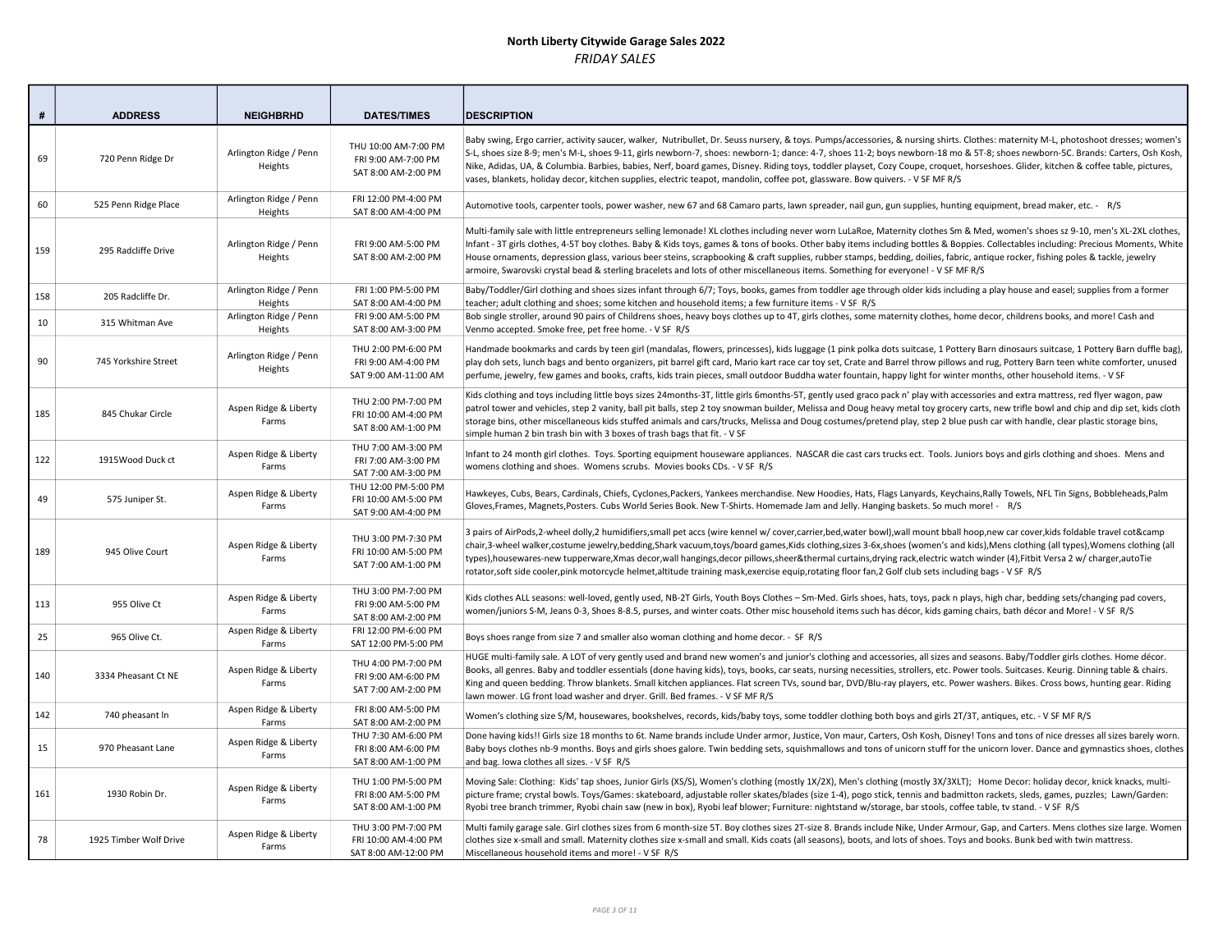| #   | <b>ADDRESS</b>         | <b>NEIGHBRHD</b>                  | <b>DATES/TIMES</b>                                                  | <b>DESCRIPTION</b>                                                                                                                                                                                                                                                                                                                                                                                                                                                                                                                                                                                                                                                                                  |
|-----|------------------------|-----------------------------------|---------------------------------------------------------------------|-----------------------------------------------------------------------------------------------------------------------------------------------------------------------------------------------------------------------------------------------------------------------------------------------------------------------------------------------------------------------------------------------------------------------------------------------------------------------------------------------------------------------------------------------------------------------------------------------------------------------------------------------------------------------------------------------------|
| 69  | 720 Penn Ridge Dr      | Arlington Ridge / Penn<br>Heights | THU 10:00 AM-7:00 PM<br>FRI 9:00 AM-7:00 PM<br>SAT 8:00 AM-2:00 PM  | Baby swing, Ergo carrier, activity saucer, walker, Nutribullet, Dr. Seuss nursery, & toys. Pumps/accessories, & nursing shirts. Clothes: maternity M-L, photoshoot dresses; women's<br>S-L, shoes size 8-9; men's M-L, shoes 9-11, girls newborn-7, shoes: newborn-1; dance: 4-7, shoes 11-2; boys newborn-18 mo & 5T-8; shoes newborn-5C. Brands: Carters, Osh Kosh,<br>Nike, Adidas, UA, & Columbia. Barbies, babies, Nerf, board games, Disney. Riding toys, toddler playset, Cozy Coupe, croquet, horseshoes. Glider, kitchen & coffee table, pictures,<br>vases, blankets, holiday decor, kitchen supplies, electric teapot, mandolin, coffee pot, glassware. Bow quivers. - V SF MF R/S       |
| 60  | 525 Penn Ridge Place   | Arlington Ridge / Penn<br>Heights | FRI 12:00 PM-4:00 PM<br>SAT 8:00 AM-4:00 PM                         | Automotive tools, carpenter tools, power washer, new 67 and 68 Camaro parts, lawn spreader, nail gun, gun supplies, hunting equipment, bread maker, etc. - R/S                                                                                                                                                                                                                                                                                                                                                                                                                                                                                                                                      |
| 159 | 295 Radcliffe Drive    | Arlington Ridge / Penn<br>Heights | FRI 9:00 AM-5:00 PM<br>SAT 8:00 AM-2:00 PM                          | Multi-family sale with little entrepreneurs selling lemonade! XL clothes including never worn LuLaRoe, Maternity clothes Sm & Med, women's shoes sz 9-10, men's XL-2XL clothes,<br>Infant - 3T girls clothes, 4-5T boy clothes. Baby & Kids toys, games & tons of books. Other baby items including bottles & Boppies. Collectables including: Precious Moments, White<br>House ornaments, depression glass, various beer steins, scrapbooking & craft supplies, rubber stamps, bedding, doilies, fabric, antique rocker, fishing poles & tackle, jewelry<br>armoire, Swarovski crystal bead & sterling bracelets and lots of other miscellaneous items. Something for everyone! - V SF MF R/S      |
| 158 | 205 Radcliffe Dr.      | Arlington Ridge / Penn<br>Heights | FRI 1:00 PM-5:00 PM<br>SAT 8:00 AM-4:00 PM                          | Baby/Toddler/Girl clothing and shoes sizes infant through 6/7; Toys, books, games from toddler age through older kids including a play house and easel; supplies from a former<br>teacher; adult clothing and shoes; some kitchen and household items; a few furniture items - V SF R/S                                                                                                                                                                                                                                                                                                                                                                                                             |
| 10  | 315 Whitman Ave        | Arlington Ridge / Penn<br>Heights | FRI 9:00 AM-5:00 PM<br>SAT 8:00 AM-3:00 PM                          | Bob single stroller, around 90 pairs of Childrens shoes, heavy boys clothes up to 4T, girls clothes, some maternity clothes, home decor, childrens books, and more! Cash and<br>Venmo accepted. Smoke free, pet free home. - V SF R/S                                                                                                                                                                                                                                                                                                                                                                                                                                                               |
| 90  | 745 Yorkshire Street   | Arlington Ridge / Penn<br>Heights | THU 2:00 PM-6:00 PM<br>FRI 9:00 AM-4:00 PM<br>SAT 9:00 AM-11:00 AM  | Handmade bookmarks and cards by teen girl (mandalas, flowers, princesses), kids luggage (1 pink polka dots suitcase, 1 Pottery Barn dinosaurs suitcase, 1 Pottery Barn duffle bag),<br>play doh sets, lunch bags and bento organizers, pit barrel gift card, Mario kart race car toy set, Crate and Barrel throw pillows and rug, Pottery Barn teen white comforter, unused<br>perfume, jewelry, few games and books, crafts, kids train pieces, small outdoor Buddha water fountain, happy light for winter months, other household items. - V SF                                                                                                                                                  |
| 185 | 845 Chukar Circle      | Aspen Ridge & Liberty<br>Farms    | THU 2:00 PM-7:00 PM<br>FRI 10:00 AM-4:00 PM<br>SAT 8:00 AM-1:00 PM  | Kids clothing and toys including little boys sizes 24months-3T, little girls 6months-5T, gently used graco pack n' play with accessories and extra mattress, red flyer wagon, paw<br>patrol tower and vehicles, step 2 vanity, ball pit balls, step 2 toy snowman builder, Melissa and Doug heavy metal toy grocery carts, new trifle bowl and chip and dip set, kids cloth<br>storage bins, other miscellaneous kids stuffed animals and cars/trucks, Melissa and Doug costumes/pretend play, step 2 blue push car with handle, clear plastic storage bins,<br>simple human 2 bin trash bin with 3 boxes of trash bags that fit. - V SF                                                            |
| 122 | 1915Wood Duck ct       | Aspen Ridge & Liberty<br>Farms    | THU 7:00 AM-3:00 PM<br>FRI 7:00 AM-3:00 PM<br>SAT 7:00 AM-3:00 PM   | Infant to 24 month girl clothes. Toys. Sporting equipment houseware appliances. NASCAR die cast cars trucks ect. Tools. Juniors boys and girls clothing and shoes. Mens and<br>womens clothing and shoes. Womens scrubs. Movies books CDs. - V SF R/S                                                                                                                                                                                                                                                                                                                                                                                                                                               |
| 49  | 575 Juniper St.        | Aspen Ridge & Liberty<br>Farms    | THU 12:00 PM-5:00 PM<br>FRI 10:00 AM-5:00 PM<br>SAT 9:00 AM-4:00 PM | Hawkeyes, Cubs, Bears, Cardinals, Chiefs, Cyclones, Packers, Yankees merchandise. New Hoodies, Hats, Flags Lanyards, Keychains, Rally Towels, NFL Tin Signs, Bobbleheads, Palm<br>Gloves, Frames, Magnets, Posters. Cubs World Series Book. New T-Shirts. Homemade Jam and Jelly. Hanging baskets. So much more! - R/S                                                                                                                                                                                                                                                                                                                                                                              |
| 189 | 945 Olive Court        | Aspen Ridge & Liberty<br>Farms    | THU 3:00 PM-7:30 PM<br>FRI 10:00 AM-5:00 PM<br>SAT 7:00 AM-1:00 PM  | 3 pairs of AirPods,2-wheel dolly,2 humidifiers,small pet accs (wire kennel w/ cover,carrier,bed,water bowl),wall mount bball hoop,new car cover,kids foldable travel cot&camp<br>chair,3-wheel walker,costume jewelry,bedding,Shark vacuum,toys/board games,Kids clothing,sizes 3-6x,shoes (women's and kids),Mens clothing (all types),Womens clothing (all<br>types),housewares-new tupperware,Xmas decor,wall hangings,decor pillows,sheer&thermal curtains,drying rack,electric watch winder (4),Fitbit Versa 2 w/ charger,autoTie<br>rotator, soft side cooler, pink motorcycle helmet, altitude training mask, exercise equip, rotating floor fan, 2 Golf club sets including bags - V SF R/S |
| 113 | 955 Olive Ct           | Aspen Ridge & Liberty<br>Farms    | THU 3:00 PM-7:00 PM<br>FRI 9:00 AM-5:00 PM<br>SAT 8:00 AM-2:00 PM   | Kids clothes ALL seasons: well-loved, gently used, NB-2T Girls, Youth Boys Clothes - Sm-Med. Girls shoes, hats, toys, pack n plays, high char, bedding sets/changing pad covers,<br>women/juniors S-M, Jeans 0-3, Shoes 8-8.5, purses, and winter coats. Other misc household items such has décor, kids gaming chairs, bath décor and More! - V SF R/S                                                                                                                                                                                                                                                                                                                                             |
| 25  | 965 Olive Ct.          | Aspen Ridge & Liberty<br>Farms    | FRI 12:00 PM-6:00 PM<br>SAT 12:00 PM-5:00 PM                        | Boys shoes range from size 7 and smaller also woman clothing and home decor. - SF R/S                                                                                                                                                                                                                                                                                                                                                                                                                                                                                                                                                                                                               |
| 140 | 3334 Pheasant Ct NE    | Aspen Ridge & Liberty<br>Farms    | THU 4:00 PM-7:00 PM<br>FRI 9:00 AM-6:00 PM<br>SAT 7:00 AM-2:00 PM   | HUGE multi-family sale. A LOT of very gently used and brand new women's and junior's clothing and accessories, all sizes and seasons. Baby/Toddler girls clothes. Home décor.<br>Books, all genres. Baby and toddler essentials (done having kids), toys, books, car seats, nursing necessities, strollers, etc. Power tools. Suitcases. Keurig. Dinning table & chairs.<br>King and queen bedding. Throw blankets. Small kitchen appliances. Flat screen TVs, sound bar, DVD/Blu-ray players, etc. Power washers. Bikes. Cross bows, hunting gear. Riding<br>lawn mower. LG front load washer and dryer. Grill. Bed frames. - V SF MF R/S                                                          |
| 142 | 740 pheasant In        | Aspen Ridge & Liberty<br>Farms    | FRI 8:00 AM-5:00 PM<br>SAT 8:00 AM-2:00 PM                          | Women's clothing size S/M, housewares, bookshelves, records, kids/baby toys, some toddler clothing both boys and girls 2T/3T, antiques, etc. - V SF MF R/S                                                                                                                                                                                                                                                                                                                                                                                                                                                                                                                                          |
| 15  | 970 Pheasant Lane      | Aspen Ridge & Liberty<br>Farms    | THU 7:30 AM-6:00 PM<br>FRI 8:00 AM-6:00 PM<br>SAT 8:00 AM-1:00 PM   | Done having kids!! Girls size 18 months to 6t. Name brands include Under armor, Justice, Von maur, Carters, Osh Kosh, Disney! Tons and tons of nice dresses all sizes barely worn.<br>Baby boys clothes nb-9 months. Boys and girls shoes galore. Twin bedding sets, squishmallows and tons of unicorn stuff for the unicorn lover. Dance and gymnastics shoes, clothes<br>and bag. Iowa clothes all sizes. - V SF R/S                                                                                                                                                                                                                                                                              |
| 161 | 1930 Robin Dr.         | Aspen Ridge & Liberty<br>Farms    | THU 1:00 PM-5:00 PM<br>FRI 8:00 AM-5:00 PM<br>SAT 8:00 AM-1:00 PM   | Moving Sale: Clothing: Kids' tap shoes, Junior Girls (XS/S), Women's clothing (mostly 1X/2X), Men's clothing (mostly 3X/3XLT); Home Decor: holiday decor, knick knacks, multi-<br>picture frame; crystal bowls. Toys/Games: skateboard, adjustable roller skates/blades (size 1-4), pogo stick, tennis and badmitton rackets, sleds, games, puzzles; Lawn/Garden:<br>Ryobi tree branch trimmer, Ryobi chain saw (new in box), Ryobi leaf blower; Furniture: nightstand w/storage, bar stools, coffee table, tv stand. - V SF R/S                                                                                                                                                                    |
| 78  | 1925 Timber Wolf Drive | Aspen Ridge & Liberty<br>Farms    | THU 3:00 PM-7:00 PM<br>FRI 10:00 AM-4:00 PM<br>SAT 8:00 AM-12:00 PM | Multi family garage sale. Girl clothes sizes from 6 month-size 5T. Boy clothes sizes 2T-size 8. Brands include Nike, Under Armour, Gap, and Carters. Mens clothes size large. Women<br>clothes size x-small and small. Maternity clothes size x-small and small. Kids coats (all seasons), boots, and lots of shoes. Toys and books. Bunk bed with twin mattress.<br>Miscellaneous household items and more! - V SF R/S                                                                                                                                                                                                                                                                             |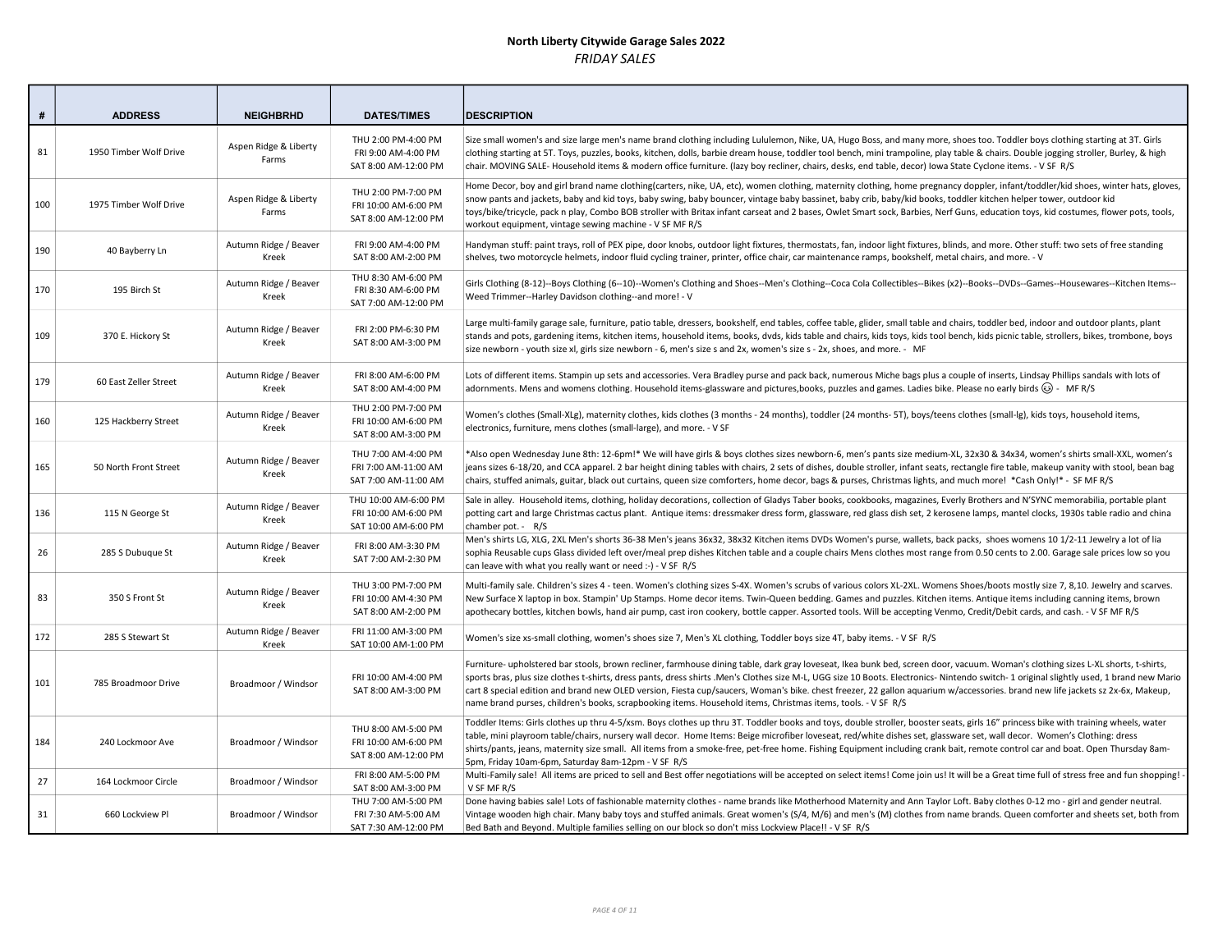| #   | <b>ADDRESS</b>         | <b>NEIGHBRHD</b>               | <b>DATES/TIMES</b>                                                   | <b>IDESCRIPTION</b>                                                                                                                                                                                                                                                                                                                                                                                                                                                                                                                                                                                                                                                            |
|-----|------------------------|--------------------------------|----------------------------------------------------------------------|--------------------------------------------------------------------------------------------------------------------------------------------------------------------------------------------------------------------------------------------------------------------------------------------------------------------------------------------------------------------------------------------------------------------------------------------------------------------------------------------------------------------------------------------------------------------------------------------------------------------------------------------------------------------------------|
| 81  | 1950 Timber Wolf Drive | Aspen Ridge & Liberty<br>Farms | THU 2:00 PM-4:00 PM<br>FRI 9:00 AM-4:00 PM<br>SAT 8:00 AM-12:00 PM   | Size small women's and size large men's name brand clothing including Lululemon, Nike, UA, Hugo Boss, and many more, shoes too. Toddler boys clothing starting at 3T. Girls<br>clothing starting at 5T. Toys, puzzles, books, kitchen, dolls, barbie dream house, toddler tool bench, mini trampoline, play table & chairs. Double jogging stroller, Burley, & high<br>chair. MOVING SALE-Household items & modern office furniture. (lazy boy recliner, chairs, desks, end table, decor) Iowa State Cyclone items. - V SF R/S                                                                                                                                                 |
| 100 | 1975 Timber Wolf Drive | Aspen Ridge & Liberty<br>Farms | THU 2:00 PM-7:00 PM<br>FRI 10:00 AM-6:00 PM<br>SAT 8:00 AM-12:00 PM  | Home Decor, boy and girl brand name clothing(carters, nike, UA, etc), women clothing, maternity clothing, home pregnancy doppler, infant/toddler/kid shoes, winter hats, gloves,<br>snow pants and jackets, baby and kid toys, baby swing, baby bouncer, vintage baby bassinet, baby crib, baby/kid books, toddler kitchen helper tower, outdoor kid<br>toys/bike/tricycle, pack n play, Combo BOB stroller with Britax infant carseat and 2 bases, Owlet Smart sock, Barbies, Nerf Guns, education toys, kid costumes, flower pots, tools,<br>workout equipment, vintage sewing machine - V SF MF R/S                                                                         |
| 190 | 40 Bayberry Ln         | Autumn Ridge / Beaver<br>Kreek | FRI 9:00 AM-4:00 PM<br>SAT 8:00 AM-2:00 PM                           | Handyman stuff: paint trays, roll of PEX pipe, door knobs, outdoor light fixtures, thermostats, fan, indoor light fixtures, blinds, and more. Other stuff: two sets of free standing<br>shelves, two motorcycle helmets, indoor fluid cycling trainer, printer, office chair, car maintenance ramps, bookshelf, metal chairs, and more. - V                                                                                                                                                                                                                                                                                                                                    |
| 170 | 195 Birch St           | Autumn Ridge / Beaver<br>Kreek | THU 8:30 AM-6:00 PM<br>FRI 8:30 AM-6:00 PM<br>SAT 7:00 AM-12:00 PM   | Girls Clothing (8-12)--Boys Clothing (6--10)--Women's Clothing and Shoes--Men's Clothing--Coca Cola Collectibles--Bikes (x2)--Books--DVDs--Games--Housewares--Kitchen Items--<br>Weed Trimmer--Harley Davidson clothing--and more! - V                                                                                                                                                                                                                                                                                                                                                                                                                                         |
| 109 | 370 E. Hickory St      | Autumn Ridge / Beaver<br>Kreek | FRI 2:00 PM-6:30 PM<br>SAT 8:00 AM-3:00 PM                           | Large multi-family garage sale, furniture, patio table, dressers, bookshelf, end tables, coffee table, glider, small table and chairs, toddler bed, indoor and outdoor plants, plant<br>stands and pots, gardening items, kitchen items, household items, books, dvds, kids table and chairs, kids toys, kids tool bench, kids picnic table, strollers, bikes, trombone, boys<br>size newborn - youth size xl, girls size newborn - 6, men's size s and 2x, women's size s - 2x, shoes, and more. - MF                                                                                                                                                                         |
| 179 | 60 East Zeller Street  | Autumn Ridge / Beaver<br>Kreek | FRI 8:00 AM-6:00 PM<br>SAT 8:00 AM-4:00 PM                           | Lots of different items. Stampin up sets and accessories. Vera Bradley purse and pack back, numerous Miche bags plus a couple of inserts, Lindsay Phillips sandals with lots of<br>adornments. Mens and womens clothing. Household items-glassware and pictures,books, puzzles and games. Ladies bike. Please no early birds $\circledS$ - MFR/S                                                                                                                                                                                                                                                                                                                               |
| 160 | 125 Hackberry Street   | Autumn Ridge / Beaver<br>Kreek | THU 2:00 PM-7:00 PM<br>FRI 10:00 AM-6:00 PM<br>SAT 8:00 AM-3:00 PM   | Women's clothes (Small-XLg), maternity clothes, kids clothes (3 months - 24 months), toddler (24 months- 5T), boys/teens clothes (small-lg), kids toys, household items,<br>electronics, furniture, mens clothes (small-large), and more. - V SF                                                                                                                                                                                                                                                                                                                                                                                                                               |
| 165 | 50 North Front Street  | Autumn Ridge / Beaver<br>Kreek | THU 7:00 AM-4:00 PM<br>FRI 7:00 AM-11:00 AM<br>SAT 7:00 AM-11:00 AM  | *Also open Wednesday June 8th: 12-6pm!* We will have girls & boys clothes sizes newborn-6, men's pants size medium-XL, 32x30 & 34x34, women's shirts small-XXL, women's<br>jeans sizes 6-18/20, and CCA apparel. 2 bar height dining tables with chairs, 2 sets of dishes, double stroller, infant seats, rectangle fire table, makeup vanity with stool, bean bag<br>chairs, stuffed animals, guitar, black out curtains, queen size comforters, home decor, bags & purses, Christmas lights, and much more! *Cash Only!* - SF MF R/S                                                                                                                                         |
| 136 | 115 N George St        | Autumn Ridge / Beaver<br>Kreek | THU 10:00 AM-6:00 PM<br>FRI 10:00 AM-6:00 PM<br>SAT 10:00 AM-6:00 PM | Sale in alley. Household items, clothing, holiday decorations, collection of Gladys Taber books, cookbooks, magazines, Everly Brothers and N'SYNC memorabilia, portable plant<br>potting cart and large Christmas cactus plant. Antique items: dressmaker dress form, glassware, red glass dish set, 2 kerosene lamps, mantel clocks, 1930s table radio and china<br>chamber pot. - R/S                                                                                                                                                                                                                                                                                        |
| 26  | 285 S Dubuque St       | Autumn Ridge / Beaver<br>Kreek | FRI 8:00 AM-3:30 PM<br>SAT 7:00 AM-2:30 PM                           | Men's shirts LG, XLG, 2XL Men's shorts 36-38 Men's jeans 36x32, 38x32 Kitchen items DVDs Women's purse, wallets, back packs, shoes womens 10 1/2-11 Jewelry a lot of lia<br>sophia Reusable cups Glass divided left over/meal prep dishes Kitchen table and a couple chairs Mens clothes most range from 0.50 cents to 2.00. Garage sale prices low so you<br>can leave with what you really want or need :-) - V SF R/S                                                                                                                                                                                                                                                       |
| 83  | 350 S Front St         | Autumn Ridge / Beaver<br>Kreek | THU 3:00 PM-7:00 PM<br>FRI 10:00 AM-4:30 PM<br>SAT 8:00 AM-2:00 PM   | Multi-family sale. Children's sizes 4 - teen. Women's clothing sizes S-4X. Women's scrubs of various colors XL-2XL. Womens Shoes/boots mostly size 7, 8,10. Jewelry and scarves.<br>New Surface X laptop in box. Stampin' Up Stamps. Home decor items. Twin-Queen bedding. Games and puzzles. Kitchen items. Antique items including canning items, brown<br>apothecary bottles, kitchen bowls, hand air pump, cast iron cookery, bottle capper. Assorted tools. Will be accepting Venmo, Credit/Debit cards, and cash. - V SF MF R/S                                                                                                                                          |
| 172 | 285 S Stewart St       | Autumn Ridge / Beaver<br>Kreek | FRI 11:00 AM-3:00 PM<br>SAT 10:00 AM-1:00 PM                         | Women's size xs-small clothing, women's shoes size 7, Men's XL clothing, Toddler boys size 4T, baby items. - V SF R/S                                                                                                                                                                                                                                                                                                                                                                                                                                                                                                                                                          |
| 101 | 785 Broadmoor Drive    | Broadmoor / Windsor            | FRI 10:00 AM-4:00 PM<br>SAT 8:00 AM-3:00 PM                          | Furniture- upholstered bar stools, brown recliner, farmhouse dining table, dark gray loveseat, Ikea bunk bed, screen door, vacuum. Woman's clothing sizes L-XL shorts, t-shirts,<br>sports bras, plus size clothes t-shirts, dress pants, dress shirts .Men's Clothes size M-L, UGG size 10 Boots. Electronics- Nintendo switch- 1 original slightly used, 1 brand new Mario<br>cart 8 special edition and brand new OLED version, Fiesta cup/saucers, Woman's bike. chest freezer, 22 gallon aquarium w/accessories. brand new life jackets sz 2x-6x, Makeup,<br>name brand purses, children's books, scrapbooking items. Household items, Christmas items, tools. - V SF R/S |
| 184 | 240 Lockmoor Ave       | Broadmoor / Windsor            | THU 8:00 AM-5:00 PM<br>FRI 10:00 AM-6:00 PM<br>SAT 8:00 AM-12:00 PM  | Toddler Items: Girls clothes up thru 4-5/xsm. Boys clothes up thru 3T. Toddler books and toys, double stroller, booster seats, girls 16" princess bike with training wheels, water<br>table, mini playroom table/chairs, nursery wall decor. Home Items: Beige microfiber loveseat, red/white dishes set, glassware set, wall decor. Women's Clothing: dress<br>shirts/pants, jeans, maternity size small. All items from a smoke-free, pet-free home. Fishing Equipment including crank bait, remote control car and boat. Open Thursday 8am-<br>5pm, Friday 10am-6pm, Saturday 8am-12pm - V SF R/S                                                                           |
| 27  | 164 Lockmoor Circle    | Broadmoor / Windsor            | FRI 8:00 AM-5:00 PM<br>SAT 8:00 AM-3:00 PM                           | Multi-Family sale! All items are priced to sell and Best offer negotiations will be accepted on select items! Come join us! It will be a Great time full of stress free and fun shopping!<br>V SF MF R/S                                                                                                                                                                                                                                                                                                                                                                                                                                                                       |
| 31  | 660 Lockview Pl        | Broadmoor / Windsor            | THU 7:00 AM-5:00 PM<br>FRI 7:30 AM-5:00 AM<br>SAT 7:30 AM-12:00 PM   | Done having babies sale! Lots of fashionable maternity clothes - name brands like Motherhood Maternity and Ann Taylor Loft. Baby clothes 0-12 mo - girl and gender neutral.<br>Vintage wooden high chair. Many baby toys and stuffed animals. Great women's (S/4, M/6) and men's (M) clothes from name brands. Queen comforter and sheets set, both from<br>Bed Bath and Beyond. Multiple families selling on our block so don't miss Lockview Place!! - V SF R/S                                                                                                                                                                                                              |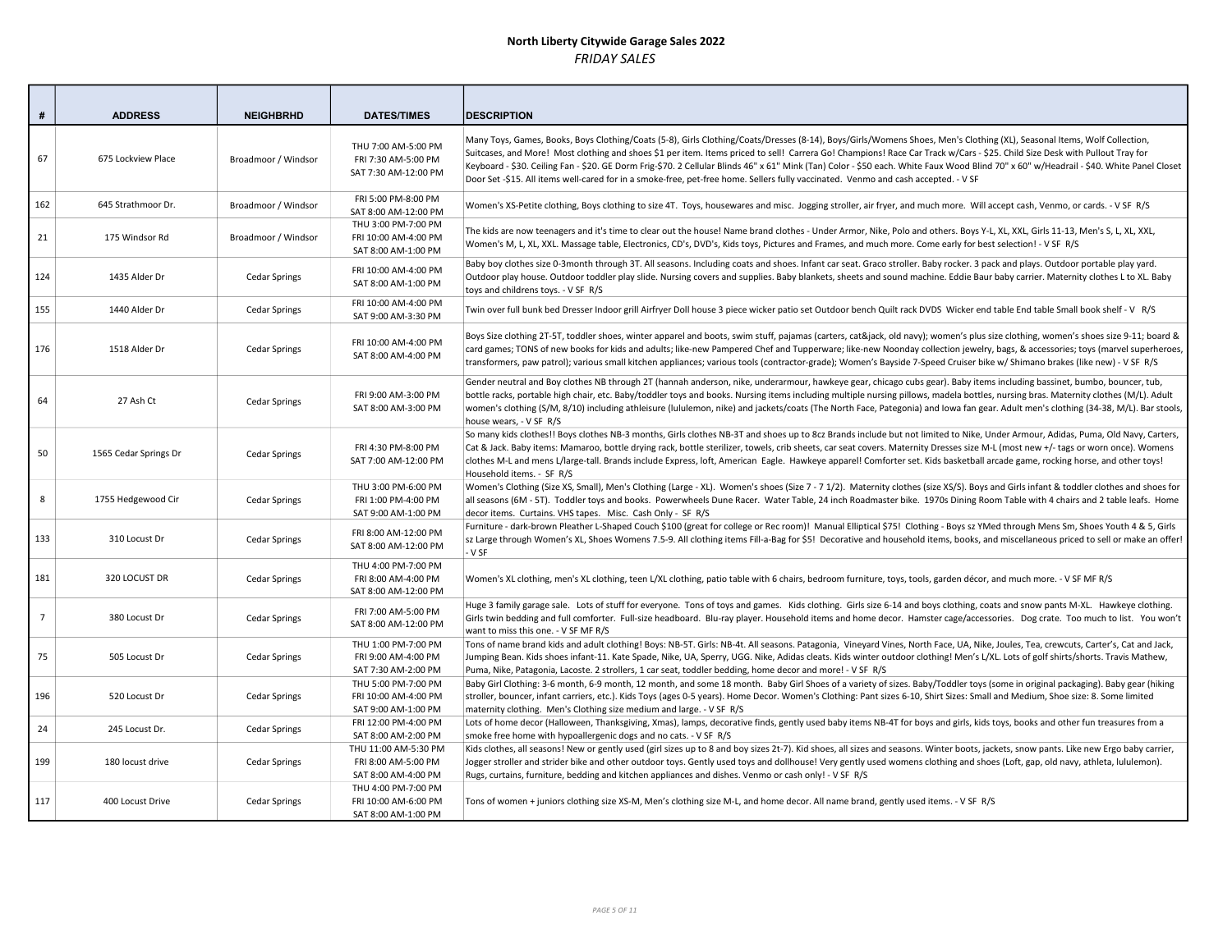| #              | <b>ADDRESS</b>        | <b>NEIGHBRHD</b>     | <b>DATES/TIMES</b>                                                 | <b>IDESCRIPTION</b>                                                                                                                                                                                                                                                                                                                                                                                                                                                                                                                                                                                                                                                                     |
|----------------|-----------------------|----------------------|--------------------------------------------------------------------|-----------------------------------------------------------------------------------------------------------------------------------------------------------------------------------------------------------------------------------------------------------------------------------------------------------------------------------------------------------------------------------------------------------------------------------------------------------------------------------------------------------------------------------------------------------------------------------------------------------------------------------------------------------------------------------------|
| 67             | 675 Lockview Place    | Broadmoor / Windsor  | THU 7:00 AM-5:00 PM<br>FRI 7:30 AM-5:00 PM<br>SAT 7:30 AM-12:00 PM | Many Toys, Games, Books, Boys Clothing/Coats (5-8), Girls Clothing/Coats/Dresses (8-14), Boys/Girls/Womens Shoes, Men's Clothing (XL), Seasonal Items, Wolf Collection,<br>Suitcases, and More! Most clothing and shoes \$1 per item. Items priced to sell! Carrera Go! Champions! Race Car Track w/Cars - \$25. Child Size Desk with Pullout Tray for<br>Keyboard - \$30. Ceiling Fan - \$20. GE Dorm Frig-\$70. 2 Cellular Blinds 46" x 61" Mink (Tan) Color - \$50 each. White Faux Wood Blind 70" x 60" w/Headrail - \$40. White Panel Closet<br>Door Set -\$15. All items well-cared for in a smoke-free, pet-free home. Sellers fully vaccinated. Venmo and cash accepted. - V SF |
| 162            | 645 Strathmoor Dr.    | Broadmoor / Windsor  | FRI 5:00 PM-8:00 PM<br>SAT 8:00 AM-12:00 PM                        | Women's XS-Petite clothing, Boys clothing to size 4T. Toys, housewares and misc. Jogging stroller, air fryer, and much more. Will accept cash, Venmo, or cards. - V SF R/S                                                                                                                                                                                                                                                                                                                                                                                                                                                                                                              |
| 21             | 175 Windsor Rd        | Broadmoor / Windsor  | THU 3:00 PM-7:00 PM<br>FRI 10:00 AM-4:00 PM<br>SAT 8:00 AM-1:00 PM | The kids are now teenagers and it's time to clear out the house! Name brand clothes - Under Armor, Nike, Polo and others. Boys Y-L, XL, XXL, Girls 11-13, Men's S, L, XL, XXL,<br>Women's M, L, XL, XXL. Massage table, Electronics, CD's, DVD's, Kids toys, Pictures and Frames, and much more. Come early for best selection! - V SF R/S                                                                                                                                                                                                                                                                                                                                              |
| 124            | 1435 Alder Dr         | <b>Cedar Springs</b> | FRI 10:00 AM-4:00 PM<br>SAT 8:00 AM-1:00 PM                        | Baby boy clothes size 0-3month through 3T. All seasons. Including coats and shoes. Infant car seat. Graco stroller. Baby rocker. 3 pack and plays. Outdoor portable play yard.<br>Outdoor play house. Outdoor toddler play slide. Nursing covers and supplies. Baby blankets, sheets and sound machine. Eddie Baur baby carrier. Maternity clothes L to XL. Baby<br>toys and childrens toys. - V SF R/S                                                                                                                                                                                                                                                                                 |
| 155            | 1440 Alder Dr         | <b>Cedar Springs</b> | FRI 10:00 AM-4:00 PM<br>SAT 9:00 AM-3:30 PM                        | Twin over full bunk bed Dresser Indoor grill Airfryer Doll house 3 piece wicker patio set Outdoor bench Quilt rack DVDS Wicker end table End table Small book shelf - V R/S                                                                                                                                                                                                                                                                                                                                                                                                                                                                                                             |
| 176            | 1518 Alder Dr         | Cedar Springs        | FRI 10:00 AM-4:00 PM<br>SAT 8:00 AM-4:00 PM                        | Boys Size clothing 2T-5T, toddler shoes, winter apparel and boots, swim stuff, pajamas (carters, cat&jack, old navy); women's plus size clothing, women's shoes size 9-11; board &<br>card games; TONS of new books for kids and adults; like-new Pampered Chef and Tupperware; like-new Noonday collection jewelry, bags, & accessories; toys (marvel superheroes,<br>transformers, paw patrol); various small kitchen appliances; various tools (contractor-grade); Women's Bayside 7-Speed Cruiser bike w/ Shimano brakes (like new) - V SF R/S                                                                                                                                      |
| 64             | 27 Ash Ct             | <b>Cedar Springs</b> | FRI 9:00 AM-3:00 PM<br>SAT 8:00 AM-3:00 PM                         | Gender neutral and Boy clothes NB through 2T (hannah anderson, nike, underarmour, hawkeye gear, chicago cubs gear). Baby items including bassinet, bumbo, bouncer, tub,<br>bottle racks, portable high chair, etc. Baby/toddler toys and books. Nursing items including multiple nursing pillows, madela bottles, nursing bras. Maternity clothes (M/L). Adult<br>women's clothing (S/M, 8/10) including athleisure (lululemon, nike) and jackets/coats (The North Face, Pategonia) and Iowa fan gear. Adult men's clothing (34-38, M/L). Bar stools,<br>house wears, - V SF R/S                                                                                                        |
| 50             | 1565 Cedar Springs Dr | <b>Cedar Springs</b> | FRI 4:30 PM-8:00 PM<br>SAT 7:00 AM-12:00 PM                        | So many kids clothes!! Boys clothes NB-3 months, Girls clothes NB-3T and shoes up to 8cz Brands include but not limited to Nike, Under Armour, Adidas, Puma, Old Navy, Carters,<br>Cat & Jack. Baby items: Mamaroo, bottle drying rack, bottle sterilizer, towels, crib sheets, car seat covers. Maternity Dresses size M-L (most new +/- tags or worn once). Womens<br>clothes M-L and mens L/large-tall. Brands include Express, loft, American Eagle. Hawkeye appare!! Comforter set. Kids basketball arcade game, rocking horse, and other toys!<br>Household items. - SF R/S                                                                                                       |
| 8              | 1755 Hedgewood Cir    | <b>Cedar Springs</b> | THU 3:00 PM-6:00 PM<br>FRI 1:00 PM-4:00 PM<br>SAT 9:00 AM-1:00 PM  | Women's Clothing (Size XS, Small), Men's Clothing (Large - XL). Women's shoes (Size 7 - 71/2). Maternity clothes (size XS/S). Boys and Girls infant & toddler clothes and shoes for<br>all seasons (6M - 5T). Toddler toys and books. Powerwheels Dune Racer. Water Table, 24 inch Roadmaster bike. 1970s Dining Room Table with 4 chairs and 2 table leafs. Home<br>decor items. Curtains. VHS tapes. Misc. Cash Only - SF R/S                                                                                                                                                                                                                                                         |
| 133            | 310 Locust Dr         | <b>Cedar Springs</b> | FRI 8:00 AM-12:00 PM<br>SAT 8:00 AM-12:00 PM                       | Furniture - dark-brown Pleather L-Shaped Couch \$100 (great for college or Rec room)! Manual Elliptical \$75! Clothing - Boys sz YMed through Mens Sm, Shoes Youth 4 & 5, Girls<br>sz Large through Women's XL, Shoes Womens 7.5-9. All clothing items Fill-a-Bag for \$5! Decorative and household items, books, and miscellaneous priced to sell or make an offer!<br>- V SF                                                                                                                                                                                                                                                                                                          |
| 181            | 320 LOCUST DR         | <b>Cedar Springs</b> | THU 4:00 PM-7:00 PM<br>FRI 8:00 AM-4:00 PM<br>SAT 8:00 AM-12:00 PM | Women's XL clothing, men's XL clothing, teen L/XL clothing, patio table with 6 chairs, bedroom furniture, toys, tools, garden décor, and much more. - V SF MF R/S                                                                                                                                                                                                                                                                                                                                                                                                                                                                                                                       |
| $\overline{7}$ | 380 Locust Dr         | <b>Cedar Springs</b> | FRI 7:00 AM-5:00 PM<br>SAT 8:00 AM-12:00 PM                        | Huge 3 family garage sale. Lots of stuff for everyone. Tons of toys and games. Kids clothing. Girls size 6-14 and boys clothing, coats and snow pants M-XL. Hawkeye clothing.<br>Girls twin bedding and full comforter. Full-size headboard. Blu-ray player. Household items and home decor. Hamster cage/accessories. Dog crate. Too much to list. You won't<br>want to miss this one. - V SF MF R/S                                                                                                                                                                                                                                                                                   |
| 75             | 505 Locust Dr         | <b>Cedar Springs</b> | THU 1:00 PM-7:00 PM<br>FRI 9:00 AM-4:00 PM<br>SAT 7:30 AM-2:00 PM  | Tons of name brand kids and adult clothing! Boys: NB-5T. Girls: NB-4t. All seasons. Patagonia, Vineyard Vines, North Face, UA, Nike, Joules, Tea, crewcuts, Carter's, Cat and Jack,<br>Jumping Bean. Kids shoes infant-11. Kate Spade, Nike, UA, Sperry, UGG. Nike, Adidas cleats. Kids winter outdoor clothing! Men's L/XL. Lots of golf shirts/shorts. Travis Mathew,<br>Puma, Nike, Patagonia, Lacoste. 2 strollers, 1 car seat, toddler bedding, home decor and more! - V SF R/S                                                                                                                                                                                                    |
| 196            | 520 Locust Dr         | <b>Cedar Springs</b> | THU 5:00 PM-7:00 PM<br>FRI 10:00 AM-4:00 PM<br>SAT 9:00 AM-1:00 PM | Baby Girl Clothing: 3-6 month, 6-9 month, 12 month, and some 18 month. Baby Girl Shoes of a variety of sizes. Baby/Toddler toys (some in original packaging). Baby gear (hiking<br>stroller, bouncer, infant carriers, etc.). Kids Toys (ages 0-5 years). Home Decor. Women's Clothing: Pant sizes 6-10, Shirt Sizes: Small and Medium, Shoe size: 8. Some limited<br>maternity clothing. Men's Clothing size medium and large. - V SF R/S                                                                                                                                                                                                                                              |
| 24             | 245 Locust Dr.        | <b>Cedar Springs</b> | FRI 12:00 PM-4:00 PM<br>SAT 8:00 AM-2:00 PM                        | Lots of home decor (Halloween, Thanksgiving, Xmas), lamps, decorative finds, gently used baby items NB-4T for boys and girls, kids toys, books and other fun treasures from a<br>smoke free home with hypoallergenic dogs and no cats. - V SF R/S                                                                                                                                                                                                                                                                                                                                                                                                                                       |
| 199            | 180 locust drive      | <b>Cedar Springs</b> | THU 11:00 AM-5:30 PM<br>FRI 8:00 AM-5:00 PM<br>SAT 8:00 AM-4:00 PM | Kids clothes, all seasons! New or gently used (girl sizes up to 8 and boy sizes 2t-7). Kid shoes, all sizes and seasons. Winter boots, jackets, snow pants. Like new Ergo baby carrier,<br>Jogger stroller and strider bike and other outdoor toys. Gently used toys and dollhouse! Very gently used womens clothing and shoes (Loft, gap, old navy, athleta, lululemon).<br>Rugs, curtains, furniture, bedding and kitchen appliances and dishes. Venmo or cash only! - V SF R/S                                                                                                                                                                                                       |
| 117            | 400 Locust Drive      | <b>Cedar Springs</b> | THU 4:00 PM-7:00 PM<br>FRI 10:00 AM-6:00 PM<br>SAT 8:00 AM-1:00 PM | Tons of women + juniors clothing size XS-M, Men's clothing size M-L, and home decor. All name brand, gently used items. - V SF R/S                                                                                                                                                                                                                                                                                                                                                                                                                                                                                                                                                      |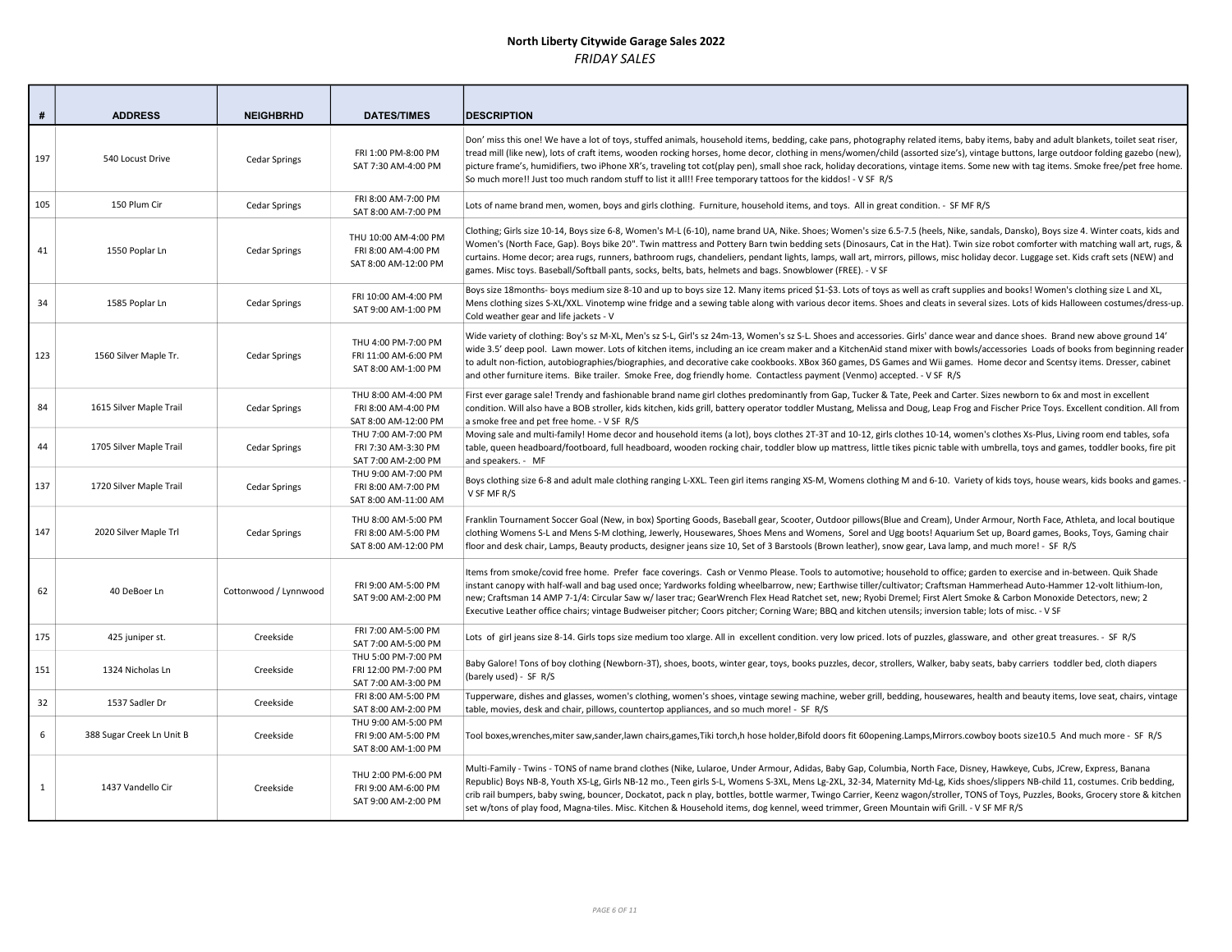| #   | <b>ADDRESS</b>            | <b>NEIGHBRHD</b>      | <b>DATES/TIMES</b>                                                  | <b>IDESCRIPTION</b>                                                                                                                                                                                                                                                                                                                                                                                                                                                                                                                                                                                                                                                                        |
|-----|---------------------------|-----------------------|---------------------------------------------------------------------|--------------------------------------------------------------------------------------------------------------------------------------------------------------------------------------------------------------------------------------------------------------------------------------------------------------------------------------------------------------------------------------------------------------------------------------------------------------------------------------------------------------------------------------------------------------------------------------------------------------------------------------------------------------------------------------------|
| 197 | 540 Locust Drive          | <b>Cedar Springs</b>  | FRI 1:00 PM-8:00 PM<br>SAT 7:30 AM-4:00 PM                          | Don' miss this one! We have a lot of toys, stuffed animals, household items, bedding, cake pans, photography related items, baby items, baby and adult blankets, toilet seat riser,<br>tread mill (like new), lots of craft items, wooden rocking horses, home decor, clothing in mens/women/child (assorted size's), vintage buttons, large outdoor folding gazebo (new),<br>picture frame's, humidifiers, two iPhone XR's, traveling tot cot(play pen), small shoe rack, holiday decorations, vintage items. Some new with tag items. Smoke free/pet free home.<br>So much more!! Just too much random stuff to list it all!! Free temporary tattoos for the kiddos! - V SF R/S          |
| 105 | 150 Plum Cir              | Cedar Springs         | FRI 8:00 AM-7:00 PM<br>SAT 8:00 AM-7:00 PM                          | Lots of name brand men, women, boys and girls clothing. Furniture, household items, and toys. All in great condition. - SF MF R/S                                                                                                                                                                                                                                                                                                                                                                                                                                                                                                                                                          |
| 41  | 1550 Poplar Ln            | Cedar Springs         | THU 10:00 AM-4:00 PM<br>FRI 8:00 AM-4:00 PM<br>SAT 8:00 AM-12:00 PM | Clothing; Girls size 10-14, Boys size 6-8, Women's M-L (6-10), name brand UA, Nike. Shoes; Women's size 6.5-7.5 (heels, Nike, sandals, Dansko), Boys size 4. Winter coats, kids and<br>Women's (North Face, Gap). Boys bike 20". Twin mattress and Pottery Barn twin bedding sets (Dinosaurs, Cat in the Hat). Twin size robot comforter with matching wall art, rugs, &<br>curtains. Home decor; area rugs, runners, bathroom rugs, chandeliers, pendant lights, lamps, wall art, mirrors, pillows, misc holiday decor. Luggage set. Kids craft sets (NEW) and<br>games. Misc toys. Baseball/Softball pants, socks, belts, bats, helmets and bags. Snowblower (FREE). - V SF              |
| 34  | 1585 Poplar Ln            | Cedar Springs         | FRI 10:00 AM-4:00 PM<br>SAT 9:00 AM-1:00 PM                         | Boys size 18months- boys medium size 8-10 and up to boys size 12. Many items priced \$1-\$3. Lots of toys as well as craft supplies and books! Women's clothing size L and XL,<br>Mens clothing sizes S-XL/XXL. Vinotemp wine fridge and a sewing table along with various decor items. Shoes and cleats in several sizes. Lots of kids Halloween costumes/dress-up.<br>Cold weather gear and life jackets - V                                                                                                                                                                                                                                                                             |
| 123 | 1560 Silver Maple Tr.     | Cedar Springs         | THU 4:00 PM-7:00 PM<br>FRI 11:00 AM-6:00 PM<br>SAT 8:00 AM-1:00 PM  | Wide variety of clothing: Boy's sz M-XL, Men's sz S-L, Girl's sz 24m-13, Women's sz S-L. Shoes and accessories. Girls' dance wear and dance shoes. Brand new above ground 14'<br>wide 3.5' deep pool. Lawn mower. Lots of kitchen items, including an ice cream maker and a KitchenAid stand mixer with bowls/accessories Loads of books from beginning reader<br>to adult non-fiction, autobiographies/biographies, and decorative cake cookbooks. XBox 360 games, DS Games and Wii games. Home decor and Scentsy items. Dresser, cabinet<br>and other furniture items. Bike trailer. Smoke Free, dog friendly home. Contactless payment (Venmo) accepted. - V SF R/S                     |
| 84  | 1615 Silver Maple Trail   | Cedar Springs         | THU 8:00 AM-4:00 PM<br>FRI 8:00 AM-4:00 PM<br>SAT 8:00 AM-12:00 PM  | First ever garage sale! Trendy and fashionable brand name girl clothes predominantly from Gap, Tucker & Tate, Peek and Carter. Sizes newborn to 6x and most in excellent<br>condition. Will also have a BOB stroller, kids kitchen, kids grill, battery operator toddler Mustang, Melissa and Doug, Leap Frog and Fischer Price Toys. Excellent condition. All from<br>a smoke free and pet free home. - V SF R/S                                                                                                                                                                                                                                                                          |
| 44  | 1705 Silver Maple Trail   | <b>Cedar Springs</b>  | THU 7:00 AM-7:00 PM<br>FRI 7:30 AM-3:30 PM<br>SAT 7:00 AM-2:00 PM   | Moving sale and multi-family! Home decor and household items (a lot), boys clothes 2T-3T and 10-12, girls clothes 10-14, women's clothes Xs-Plus, Living room end tables, sofa<br>table, queen headboard/footboard, full headboard, wooden rocking chair, toddler blow up mattress, little tikes picnic table with umbrella, toys and games, toddler books, fire pit<br>and speakers. - MF                                                                                                                                                                                                                                                                                                 |
| 137 | 1720 Silver Maple Trail   | Cedar Springs         | THU 9:00 AM-7:00 PM<br>FRI 8:00 AM-7:00 PM<br>SAT 8:00 AM-11:00 AM  | Boys clothing size 6-8 and adult male clothing ranging L-XXL. Teen girl items ranging XS-M, Womens clothing M and 6-10. Variety of kids toys, house wears, kids books and games.<br>V SF MF R/S                                                                                                                                                                                                                                                                                                                                                                                                                                                                                            |
| 147 | 2020 Silver Maple Trl     | Cedar Springs         | THU 8:00 AM-5:00 PM<br>FRI 8:00 AM-5:00 PM<br>SAT 8:00 AM-12:00 PM  | Franklin Tournament Soccer Goal (New, in box) Sporting Goods, Baseball gear, Scooter, Outdoor pillows(Blue and Cream), Under Armour, North Face, Athleta, and local boutique<br>clothing Womens S-L and Mens S-M clothing, Jewerly, Housewares, Shoes Mens and Womens, Sorel and Ugg boots! Aquarium Set up, Board games, Books, Toys, Gaming chair<br>floor and desk chair, Lamps, Beauty products, designer jeans size 10, Set of 3 Barstools (Brown leather), snow gear, Lava lamp, and much more! - SF R/S                                                                                                                                                                             |
| 62  | 40 DeBoer Ln              | Cottonwood / Lynnwood | FRI 9:00 AM-5:00 PM<br>SAT 9:00 AM-2:00 PM                          | Items from smoke/covid free home. Prefer face coverings. Cash or Venmo Please. Tools to automotive; household to office; garden to exercise and in-between. Quik Shade<br>instant canopy with half-wall and bag used once; Yardworks folding wheelbarrow, new; Earthwise tiller/cultivator; Craftsman Hammerhead Auto-Hammer 12-volt lithium-lon,<br>new; Craftsman 14 AMP 7-1/4: Circular Saw w/ laser trac; GearWrench Flex Head Ratchet set, new; Ryobi Dremel; First Alert Smoke & Carbon Monoxide Detectors, new; 2<br>Executive Leather office chairs; vintage Budweiser pitcher; Coors pitcher; Corning Ware; BBQ and kitchen utensils; inversion table; lots of misc. - V SF       |
| 175 | 425 juniper st.           | Creekside             | FRI 7:00 AM-5:00 PM<br>SAT 7:00 AM-5:00 PM                          | Lots of girl jeans size 8-14. Girls tops size medium too xlarge. All in excellent condition. very low priced. lots of puzzles, glassware, and other great treasures. - SF R/S                                                                                                                                                                                                                                                                                                                                                                                                                                                                                                              |
| 151 | 1324 Nicholas Ln          | Creekside             | THU 5:00 PM-7:00 PM<br>FRI 12:00 PM-7:00 PM<br>SAT 7:00 AM-3:00 PM  | Baby Galore! Tons of boy clothing (Newborn-3T), shoes, boots, winter gear, toys, books puzzles, decor, strollers, Walker, baby seats, baby carriers toddler bed, cloth diapers<br>(barely used) - SF R/S                                                                                                                                                                                                                                                                                                                                                                                                                                                                                   |
| 32  | 1537 Sadler Dr            | Creekside             | FRI 8:00 AM-5:00 PM<br>SAT 8:00 AM-2:00 PM                          | Tupperware, dishes and glasses, women's clothing, women's shoes, vintage sewing machine, weber grill, bedding, housewares, health and beauty items, love seat, chairs, vintage<br>table, movies, desk and chair, pillows, countertop appliances, and so much more! - SF R/S                                                                                                                                                                                                                                                                                                                                                                                                                |
| 6   | 388 Sugar Creek Ln Unit B | Creekside             | THU 9:00 AM-5:00 PM<br>FRI 9:00 AM-5:00 PM<br>SAT 8:00 AM-1:00 PM   | Tool boxes,wrenches,miter saw,sander,lawn chairs,games,Tiki torch,h hose holder,Bifold doors fit 60opening.Lamps,Mirrors.cowboy boots size10.5 And much more - SF R/S                                                                                                                                                                                                                                                                                                                                                                                                                                                                                                                      |
| 1   | 1437 Vandello Cir         | Creekside             | THU 2:00 PM-6:00 PM<br>FRI 9:00 AM-6:00 PM<br>SAT 9:00 AM-2:00 PM   | Multi-Family - Twins - TONS of name brand clothes (Nike, Lularoe, Under Armour, Adidas, Baby Gap, Columbia, North Face, Disney, Hawkeye, Cubs, JCrew, Express, Banana<br>Republic) Boys NB-8, Youth XS-Lg, Girls NB-12 mo., Teen girls S-L, Womens S-3XL, Mens Lg-2XL, 32-34, Maternity Md-Lg, Kids shoes/slippers NB-child 11, costumes. Crib bedding,<br>crib rail bumpers, baby swing, bouncer, Dockatot, pack n play, bottles, bottle warmer, Twingo Carrier, Keenz wagon/stroller, TONS of Toys, Puzzles, Books, Grocery store & kitchen<br>set w/tons of play food, Magna-tiles. Misc. Kitchen & Household items, dog kennel, weed trimmer, Green Mountain wifi Grill. - V SF MF R/S |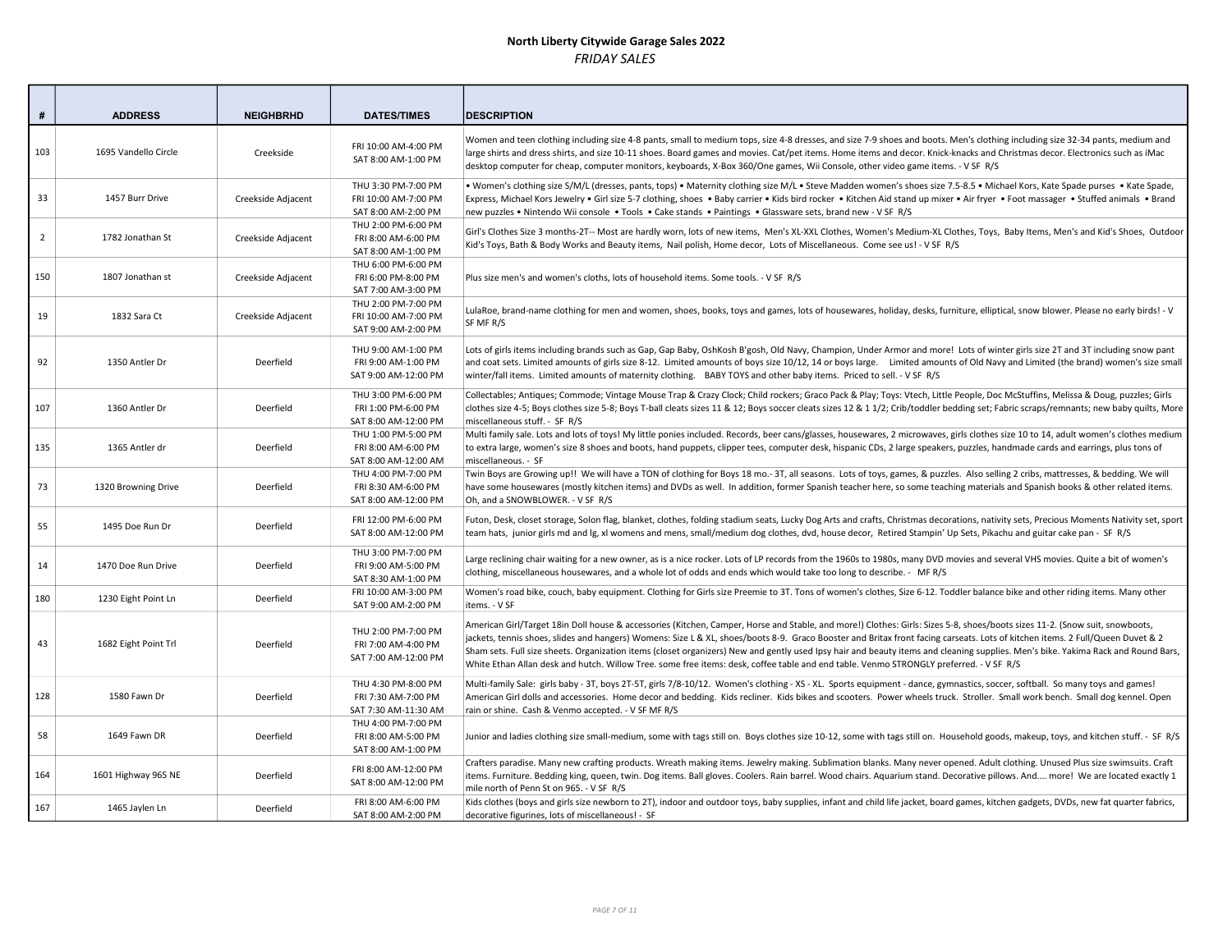| #              | <b>ADDRESS</b>       | <b>NEIGHBRHD</b>   | <b>DATES/TIMES</b>                                                 | <b>DESCRIPTION</b>                                                                                                                                                                                                                                                                                                                                                                                                                                                                                                                                                                                                                                                                           |
|----------------|----------------------|--------------------|--------------------------------------------------------------------|----------------------------------------------------------------------------------------------------------------------------------------------------------------------------------------------------------------------------------------------------------------------------------------------------------------------------------------------------------------------------------------------------------------------------------------------------------------------------------------------------------------------------------------------------------------------------------------------------------------------------------------------------------------------------------------------|
| 103            | 1695 Vandello Circle | Creekside          | FRI 10:00 AM-4:00 PM<br>SAT 8:00 AM-1:00 PM                        | Women and teen clothing including size 4-8 pants, small to medium tops, size 4-8 dresses, and size 7-9 shoes and boots. Men's clothing including size 32-34 pants, medium and<br>large shirts and dress shirts, and size 10-11 shoes. Board games and movies. Cat/pet items. Home items and decor. Knick-knacks and Christmas decor. Electronics such as iMac<br>desktop computer for cheap, computer monitors, keyboards, X-Box 360/One games, Wii Console, other video game items. - V SF R/S                                                                                                                                                                                              |
| 33             | 1457 Burr Drive      | Creekside Adjacent | THU 3:30 PM-7:00 PM<br>FRI 10:00 AM-7:00 PM<br>SAT 8:00 AM-2:00 PM | . Women's clothing size S/M/L (dresses, pants, tops) . Maternity clothing size M/L . Steve Madden women's shoes size 7.5-8.5 . Michael Kors, Kate Spade purses . Kate Spade,<br>Express, Michael Kors Jewelry • Girl size 5-7 clothing, shoes • Baby carrier • Kids bird rocker • Kitchen Aid stand up mixer • Air fryer • Foot massager • Stuffed animals • Brand<br>new puzzles • Nintendo Wii console • Tools • Cake stands • Paintings • Glassware sets, brand new - V SF R/S                                                                                                                                                                                                            |
| $\overline{2}$ | 1782 Jonathan St     | Creekside Adjacent | THU 2:00 PM-6:00 PM<br>FRI 8:00 AM-6:00 PM<br>SAT 8:00 AM-1:00 PM  | Girl's Clothes Size 3 months-2T-- Most are hardly worn, lots of new items, Men's XL-XXL Clothes, Women's Medium-XL Clothes, Toys, Baby Items, Men's and Kid's Shoes, Outdoor<br>Kid's Toys, Bath & Body Works and Beauty items, Nail polish, Home decor, Lots of Miscellaneous. Come see us! - V SF R/S                                                                                                                                                                                                                                                                                                                                                                                      |
| 150            | 1807 Jonathan st     | Creekside Adjacent | THU 6:00 PM-6:00 PM<br>FRI 6:00 PM-8:00 PM<br>SAT 7:00 AM-3:00 PM  | Plus size men's and women's cloths, lots of household items. Some tools. - V SF R/S                                                                                                                                                                                                                                                                                                                                                                                                                                                                                                                                                                                                          |
| 19             | 1832 Sara Ct         | Creekside Adjacent | THU 2:00 PM-7:00 PM<br>FRI 10:00 AM-7:00 PM<br>SAT 9:00 AM-2:00 PM | LulaRoe, brand-name clothing for men and women, shoes, books, toys and games, lots of housewares, holiday, desks, furniture, elliptical, snow blower. Please no early birds! - V<br>SF MF R/S                                                                                                                                                                                                                                                                                                                                                                                                                                                                                                |
| 92             | 1350 Antler Dr       | Deerfield          | THU 9:00 AM-1:00 PM<br>FRI 9:00 AM-1:00 PM<br>SAT 9:00 AM-12:00 PM | Lots of girls items including brands such as Gap, Gap Baby, OshKosh B'gosh, Old Navy, Champion, Under Armor and more! Lots of winter girls size 2T and 3T including snow pant<br>and coat sets. Limited amounts of girls size 8-12. Limited amounts of boys size 10/12, 14 or boys large. Limited amounts of Old Navy and Limited (the brand) women's size small<br>winter/fall items. Limited amounts of maternity clothing. BABY TOYS and other baby items. Priced to sell. - V SF R/S                                                                                                                                                                                                     |
| 107            | 1360 Antler Dr       | Deerfield          | THU 3:00 PM-6:00 PM<br>FRI 1:00 PM-6:00 PM<br>SAT 8:00 AM-12:00 PM | Collectables; Antiques; Commode; Vintage Mouse Trap & Crazy Clock; Child rockers; Graco Pack & Play; Toys: Vtech, Little People, Doc McStuffins, Melissa & Doug, puzzles; Girls<br>clothes size 4-5; Boys clothes size 5-8; Boys T-ball cleats sizes 11 & 12; Boys soccer cleats sizes 12 & 1 1/2; Crib/toddler bedding set; Fabric scraps/remnants; new baby quilts, More<br>miscellaneous stuff. - SF R/S                                                                                                                                                                                                                                                                                  |
| 135            | 1365 Antler dr       | Deerfield          | THU 1:00 PM-5:00 PM<br>FRI 8:00 AM-6:00 PM<br>SAT 8:00 AM-12:00 AM | Multi family sale. Lots and lots of toys! My little ponies included. Records, beer cans/glasses, housewares, 2 microwaves, girls clothes size 10 to 14, adult women's clothes medium<br>to extra large, women's size 8 shoes and boots, hand puppets, clipper tees, computer desk, hispanic CDs, 2 large speakers, puzzles, handmade cards and earrings, plus tons of<br>miscellaneous. - SF                                                                                                                                                                                                                                                                                                 |
| 73             | 1320 Browning Drive  | Deerfield          | THU 4:00 PM-7:00 PM<br>FRI 8:30 AM-6:00 PM<br>SAT 8:00 AM-12:00 PM | Twin Boys are Growing up!! We will have a TON of clothing for Boys 18 mo.- 3T, all seasons. Lots of toys, games, & puzzles. Also selling 2 cribs, mattresses, & bedding. We will<br>have some housewares (mostly kitchen items) and DVDs as well. In addition, former Spanish teacher here, so some teaching materials and Spanish books & other related items.<br>Oh, and a SNOWBLOWER. - V SF R/S                                                                                                                                                                                                                                                                                          |
| 55             | 1495 Doe Run Dr      | Deerfield          | FRI 12:00 PM-6:00 PM<br>SAT 8:00 AM-12:00 PM                       | Futon, Desk, closet storage, Solon flag, blanket, clothes, folding stadium seats, Lucky Dog Arts and crafts, Christmas decorations, nativity sets, Precious Moments Nativity set, sport<br>team hats, junior girls md and lg, xl womens and mens, small/medium dog clothes, dvd, house decor, Retired Stampin' Up Sets, Pikachu and guitar cake pan - SF R/S                                                                                                                                                                                                                                                                                                                                 |
| 14             | 1470 Doe Run Drive   | Deerfield          | THU 3:00 PM-7:00 PM<br>FRI 9:00 AM-5:00 PM<br>SAT 8:30 AM-1:00 PM  | Large reclining chair waiting for a new owner, as is a nice rocker. Lots of LP records from the 1960s to 1980s, many DVD movies and several VHS movies. Quite a bit of women's<br>clothing, miscellaneous housewares, and a whole lot of odds and ends which would take too long to describe. - MFR/S                                                                                                                                                                                                                                                                                                                                                                                        |
| 180            | 1230 Eight Point Ln  | Deerfield          | FRI 10:00 AM-3:00 PM<br>SAT 9:00 AM-2:00 PM                        | Women's road bike, couch, baby equipment. Clothing for Girls size Preemie to 3T. Tons of women's clothes, Size 6-12. Toddler balance bike and other riding items. Many other<br>items. - V SF                                                                                                                                                                                                                                                                                                                                                                                                                                                                                                |
| 43             | 1682 Eight Point Trl | Deerfield          | THU 2:00 PM-7:00 PM<br>FRI 7:00 AM-4:00 PM<br>SAT 7:00 AM-12:00 PM | American Girl/Target 18in Doll house & accessories (Kitchen, Camper, Horse and Stable, and more!) Clothes: Girls: Sizes 5-8, shoes/boots sizes 11-2. (Snow suit, snowboots,<br>jackets, tennis shoes, slides and hangers) Womens: Size L & XL, shoes/boots 8-9. Graco Booster and Britax front facing carseats. Lots of kitchen items. 2 Full/Queen Duvet & 2<br>Sham sets. Full size sheets. Organization items (closet organizers) New and gently used Ipsy hair and beauty items and cleaning supplies. Men's bike. Yakima Rack and Round Bars,<br>White Ethan Allan desk and hutch. Willow Tree. some free items: desk, coffee table and end table. Venmo STRONGLY preferred. - V SF R/S |
| 128            | 1580 Fawn Dr         | Deerfield          | THU 4:30 PM-8:00 PM<br>FRI 7:30 AM-7:00 PM<br>SAT 7:30 AM-11:30 AM | Multi-family Sale: girls baby - 3T, boys 2T-5T, girls 7/8-10/12. Women's clothing - XS - XL. Sports equipment - dance, gymnastics, soccer, softball. So many toys and games!<br>American Girl dolls and accessories. Home decor and bedding. Kids recliner. Kids bikes and scooters. Power wheels truck. Stroller. Small work bench. Small dog kennel. Open<br>rain or shine. Cash & Venmo accepted. - V SF MF R/S                                                                                                                                                                                                                                                                           |
| 58             | 1649 Fawn DR         | Deerfield          | THU 4:00 PM-7:00 PM<br>FRI 8:00 AM-5:00 PM<br>SAT 8:00 AM-1:00 PM  | Junior and ladies clothing size small-medium, some with tags still on. Boys clothes size 10-12, some with tags still on. Household goods, makeup, toys, and kitchen stuff. - SF R/S                                                                                                                                                                                                                                                                                                                                                                                                                                                                                                          |
| 164            | 1601 Highway 965 NE  | Deerfield          | FRI 8:00 AM-12:00 PM<br>SAT 8:00 AM-12:00 PM                       | Crafters paradise. Many new crafting products. Wreath making items. Jewelry making. Sublimation blanks. Many never opened. Adult clothing. Unused Plus size swimsuits. Craft<br>items. Furniture. Bedding king, queen, twin. Dog items. Ball gloves. Coolers. Rain barrel. Wood chairs. Aquarium stand. Decorative pillows. And more! We are located exactly 1<br>mile north of Penn St on 965. - V SF R/S                                                                                                                                                                                                                                                                                   |
| 167            | 1465 Jaylen Ln       | Deerfield          | FRI 8:00 AM-6:00 PM<br>SAT 8:00 AM-2:00 PM                         | Kids clothes (boys and girls size newborn to 2T), indoor and outdoor toys, baby supplies, infant and child life jacket, board games, kitchen gadgets, DVDs, new fat quarter fabrics,<br>decorative figurines, lots of miscellaneous! - SF                                                                                                                                                                                                                                                                                                                                                                                                                                                    |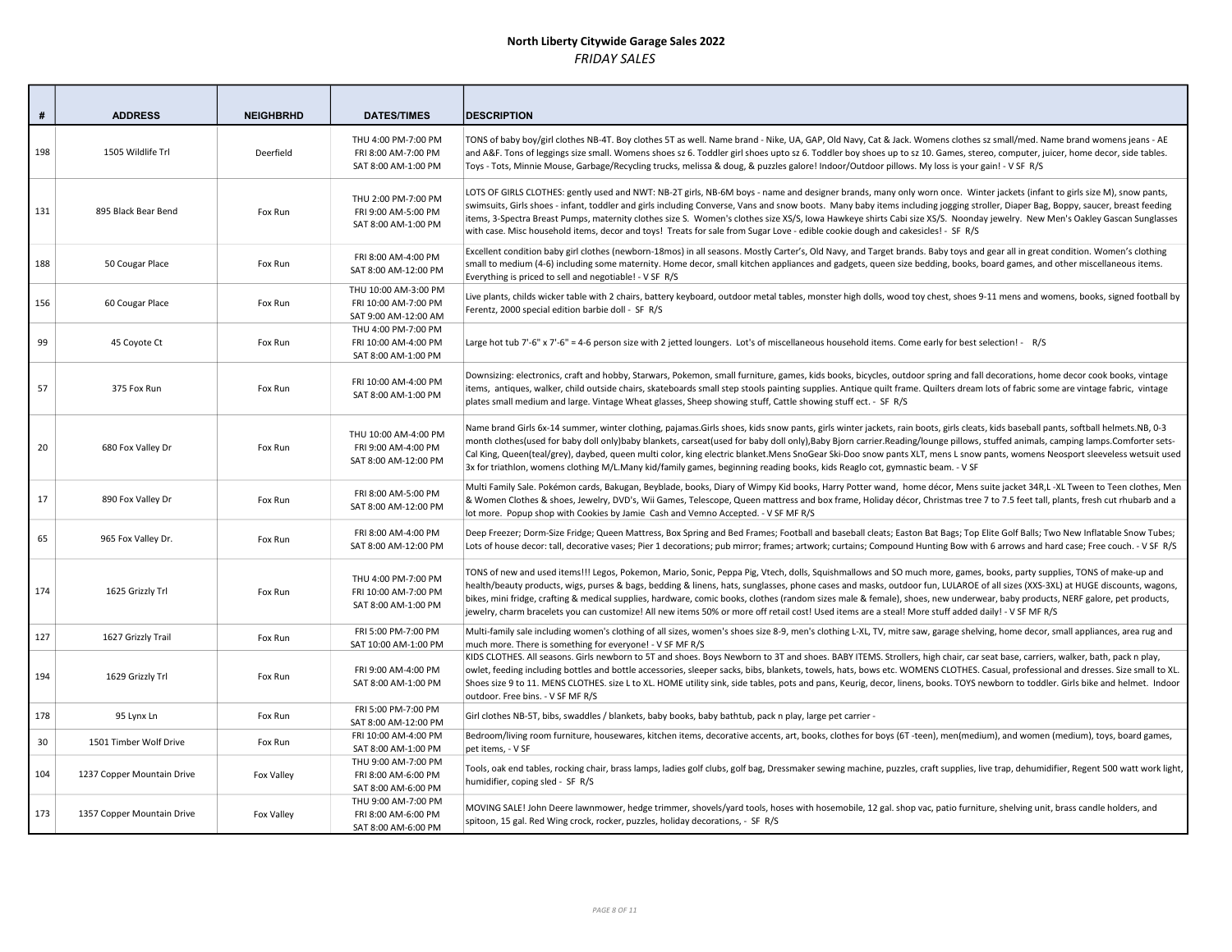| #   | <b>ADDRESS</b>             | <b>NEIGHBRHD</b> | <b>DATES/TIMES</b>                                                   | <b>DESCRIPTION</b>                                                                                                                                                                                                                                                                                                                                                                                                                                                                                                                                                                                                                                                                                |
|-----|----------------------------|------------------|----------------------------------------------------------------------|---------------------------------------------------------------------------------------------------------------------------------------------------------------------------------------------------------------------------------------------------------------------------------------------------------------------------------------------------------------------------------------------------------------------------------------------------------------------------------------------------------------------------------------------------------------------------------------------------------------------------------------------------------------------------------------------------|
| 198 | 1505 Wildlife Trl          | Deerfield        | THU 4:00 PM-7:00 PM<br>FRI 8:00 AM-7:00 PM<br>SAT 8:00 AM-1:00 PM    | TONS of baby boy/girl clothes NB-4T. Boy clothes 5T as well. Name brand - Nike, UA, GAP, Old Navy, Cat & Jack. Womens clothes sz small/med. Name brand womens jeans - AE<br>and A&F. Tons of leggings size small. Womens shoes sz 6. Toddler girl shoes upto sz 6. Toddler boy shoes up to sz 10. Games, stereo, computer, juicer, home decor, side tables.<br>Toys - Tots, Minnie Mouse, Garbage/Recycling trucks, melissa & doug, & puzzles galore! Indoor/Outdoor pillows. My loss is your gain! - V SF R/S                                                                                                                                                                                    |
| 131 | 895 Black Bear Bend        | Fox Run          | THU 2:00 PM-7:00 PM<br>FRI 9:00 AM-5:00 PM<br>SAT 8:00 AM-1:00 PM    | LOTS OF GIRLS CLOTHES: gently used and NWT: NB-2T girls, NB-6M boys - name and designer brands, many only worn once. Winter jackets (infant to girls size M), snow pants,<br>swimsuits, Girls shoes - infant, toddler and girls including Converse, Vans and snow boots. Many baby items including jogging stroller, Diaper Bag, Boppy, saucer, breast feeding<br>items, 3-Spectra Breast Pumps, maternity clothes size S. Women's clothes size XS/S, Iowa Hawkeye shirts Cabi size XS/S. Noonday jewelry. New Men's Oakley Gascan Sunglasses<br>with case. Misc household items, decor and toys! Treats for sale from Sugar Love - edible cookie dough and cakesicles! - SF R/S                  |
| 188 | 50 Cougar Place            | Fox Run          | FRI 8:00 AM-4:00 PM<br>SAT 8:00 AM-12:00 PM                          | Excellent condition baby girl clothes (newborn-18mos) in all seasons. Mostly Carter's, Old Navy, and Target brands. Baby toys and gear all in great condition. Women's clothing<br>small to medium (4-6) including some maternity. Home decor, small kitchen appliances and gadgets, queen size bedding, books, board games, and other miscellaneous items.<br>Everything is priced to sell and negotiable! - V SF R/S                                                                                                                                                                                                                                                                            |
| 156 | 60 Cougar Place            | Fox Run          | THU 10:00 AM-3:00 PM<br>FRI 10:00 AM-7:00 PM<br>SAT 9:00 AM-12:00 AM | Live plants, childs wicker table with 2 chairs, battery keyboard, outdoor metal tables, monster high dolls, wood toy chest, shoes 9-11 mens and womens, books, signed football by<br>Ferentz, 2000 special edition barbie doll - SF R/S                                                                                                                                                                                                                                                                                                                                                                                                                                                           |
| 99  | 45 Coyote Ct               | Fox Run          | THU 4:00 PM-7:00 PM<br>FRI 10:00 AM-4:00 PM<br>SAT 8:00 AM-1:00 PM   | Large hot tub 7'-6" x 7'-6" = 4-6 person size with 2 jetted loungers. Lot's of miscellaneous household items. Come early for best selection! - R/S                                                                                                                                                                                                                                                                                                                                                                                                                                                                                                                                                |
| 57  | 375 Fox Run                | Fox Run          | FRI 10:00 AM-4:00 PM<br>SAT 8:00 AM-1:00 PM                          | Downsizing: electronics, craft and hobby, Starwars, Pokemon, small furniture, games, kids books, bicycles, outdoor spring and fall decorations, home decor cook books, vintage<br>items, antiques, walker, child outside chairs, skateboards small step stools painting supplies. Antique quilt frame. Quilters dream lots of fabric some are vintage fabric, vintage<br>plates small medium and large. Vintage Wheat glasses, Sheep showing stuff, Cattle showing stuff ect. - SF R/S                                                                                                                                                                                                            |
| 20  | 680 Fox Valley Dr          | Fox Run          | THU 10:00 AM-4:00 PM<br>FRI 9:00 AM-4:00 PM<br>SAT 8:00 AM-12:00 PM  | Name brand Girls 6x-14 summer, winter clothing, pajamas.Girls shoes, kids snow pants, girls winter jackets, rain boots, girls cleats, kids baseball pants, softball helmets.NB, 0-3<br>month clothes(used for baby doll only)baby blankets, carseat(used for baby doll only),Baby Bjorn carrier.Reading/lounge pillows, stuffed animals, camping lamps.Comforter sets-<br>Cal King, Queen(teal/grey), daybed, queen multi color, king electric blanket.Mens SnoGear Ski-Doo snow pants XLT, mens L snow pants, womens Neosport sleeveless wetsuit used<br>3x for triathlon, womens clothing M/L.Many kid/family games, beginning reading books, kids Reaglo cot, gymnastic beam. - V SF           |
| 17  | 890 Fox Valley Dr          | Fox Run          | FRI 8:00 AM-5:00 PM<br>SAT 8:00 AM-12:00 PM                          | Multi Family Sale. Pokémon cards, Bakugan, Beyblade, books, Diary of Wimpy Kid books, Harry Potter wand, home décor, Mens suite jacket 34R,L -XL Tween to Teen clothes, Men<br>& Women Clothes & shoes, Jewelry, DVD's, Wii Games, Telescope, Queen mattress and box frame, Holiday décor, Christmas tree 7 to 7.5 feet tall, plants, fresh cut rhubarb and a<br>lot more. Popup shop with Cookies by Jamie Cash and Vemno Accepted. - V SF MF R/S                                                                                                                                                                                                                                                |
| 65  | 965 Fox Valley Dr.         | Fox Run          | FRI 8:00 AM-4:00 PM<br>SAT 8:00 AM-12:00 PM                          | Deep Freezer; Dorm-Size Fridge; Queen Mattress, Box Spring and Bed Frames; Football and baseball cleats; Easton Bat Bags; Top Elite Golf Balls; Two New Inflatable Snow Tubes;<br>Lots of house decor: tall, decorative vases; Pier 1 decorations; pub mirror; frames; artwork; curtains; Compound Hunting Bow with 6 arrows and hard case; Free couch. - V SF R/S                                                                                                                                                                                                                                                                                                                                |
| 174 | 1625 Grizzly Trl           | Fox Run          | THU 4:00 PM-7:00 PM<br>FRI 10:00 AM-7:00 PM<br>SAT 8:00 AM-1:00 PM   | TONS of new and used items!!! Legos, Pokemon, Mario, Sonic, Peppa Pig, Vtech, dolls, Squishmallows and SO much more, games, books, party supplies, TONS of make-up and<br>health/beauty products, wigs, purses & bags, bedding & linens, hats, sunglasses, phone cases and masks, outdoor fun, LULAROE of all sizes (XXS-3XL) at HUGE discounts, wagons,<br>bikes, mini fridge, crafting & medical supplies, hardware, comic books, clothes (random sizes male & female), shoes, new underwear, baby products, NERF galore, pet products,<br>jewelry, charm bracelets you can customize! All new items 50% or more off retail cost! Used items are a steal! More stuff added daily! - V SF MF R/S |
| 127 | 1627 Grizzly Trail         | Fox Run          | FRI 5:00 PM-7:00 PM<br>SAT 10:00 AM-1:00 PM                          | Multi-family sale including women's clothing of all sizes, women's shoes size 8-9, men's clothing L-XL, TV, mitre saw, garage shelving, home decor, small appliances, area rug and<br>much more. There is something for everyone! - V SF MF R/S                                                                                                                                                                                                                                                                                                                                                                                                                                                   |
| 194 | 1629 Grizzly Trl           | Fox Run          | FRI 9:00 AM-4:00 PM<br>SAT 8:00 AM-1:00 PM                           | KIDS CLOTHES. All seasons. Girls newborn to 5T and shoes. Boys Newborn to 3T and shoes. BABY ITEMS. Strollers, high chair, car seat base, carriers, walker, bath, pack n play,<br>owlet, feeding including bottles and bottle accessories, sleeper sacks, bibs, blankets, towels, hats, bows etc. WOMENS CLOTHES. Casual, professional and dresses. Size small to XL.<br>Shoes size 9 to 11. MENS CLOTHES. size L to XL. HOME utility sink, side tables, pots and pans, Keurig, decor, linens, books. TOYS newborn to toddler. Girls bike and helmet. Indoor<br>outdoor. Free bins. - V SF MF R/S                                                                                                 |
| 178 | 95 Lynx Ln                 | Fox Run          | FRI 5:00 PM-7:00 PM<br>SAT 8:00 AM-12:00 PM                          | Girl clothes NB-5T, bibs, swaddles / blankets, baby books, baby bathtub, pack n play, large pet carrier -                                                                                                                                                                                                                                                                                                                                                                                                                                                                                                                                                                                         |
| 30  | 1501 Timber Wolf Drive     | Fox Run          | FRI 10:00 AM-4:00 PM<br>SAT 8:00 AM-1:00 PM                          | Bedroom/living room furniture, housewares, kitchen items, decorative accents, art, books, clothes for boys (6T -teen), men(medium), and women (medium), toys, board games,<br>pet items, - V SF                                                                                                                                                                                                                                                                                                                                                                                                                                                                                                   |
| 104 | 1237 Copper Mountain Drive | Fox Valley       | THU 9:00 AM-7:00 PM<br>FRI 8:00 AM-6:00 PM<br>SAT 8:00 AM-6:00 PM    | Tools, oak end tables, rocking chair, brass lamps, ladies golf clubs, golf bag, Dressmaker sewing machine, puzzles, craft supplies, live trap, dehumidifier, Regent 500 watt work light,<br>humidifier, coping sled - SF R/S                                                                                                                                                                                                                                                                                                                                                                                                                                                                      |
| 173 | 1357 Copper Mountain Drive | Fox Valley       | THU 9:00 AM-7:00 PM<br>FRI 8:00 AM-6:00 PM<br>SAT 8:00 AM-6:00 PM    | MOVING SALE! John Deere lawnmower, hedge trimmer, shovels/yard tools, hoses with hosemobile, 12 gal. shop vac, patio furniture, shelving unit, brass candle holders, and<br>spitoon, 15 gal. Red Wing crock, rocker, puzzles, holiday decorations, - SF R/S                                                                                                                                                                                                                                                                                                                                                                                                                                       |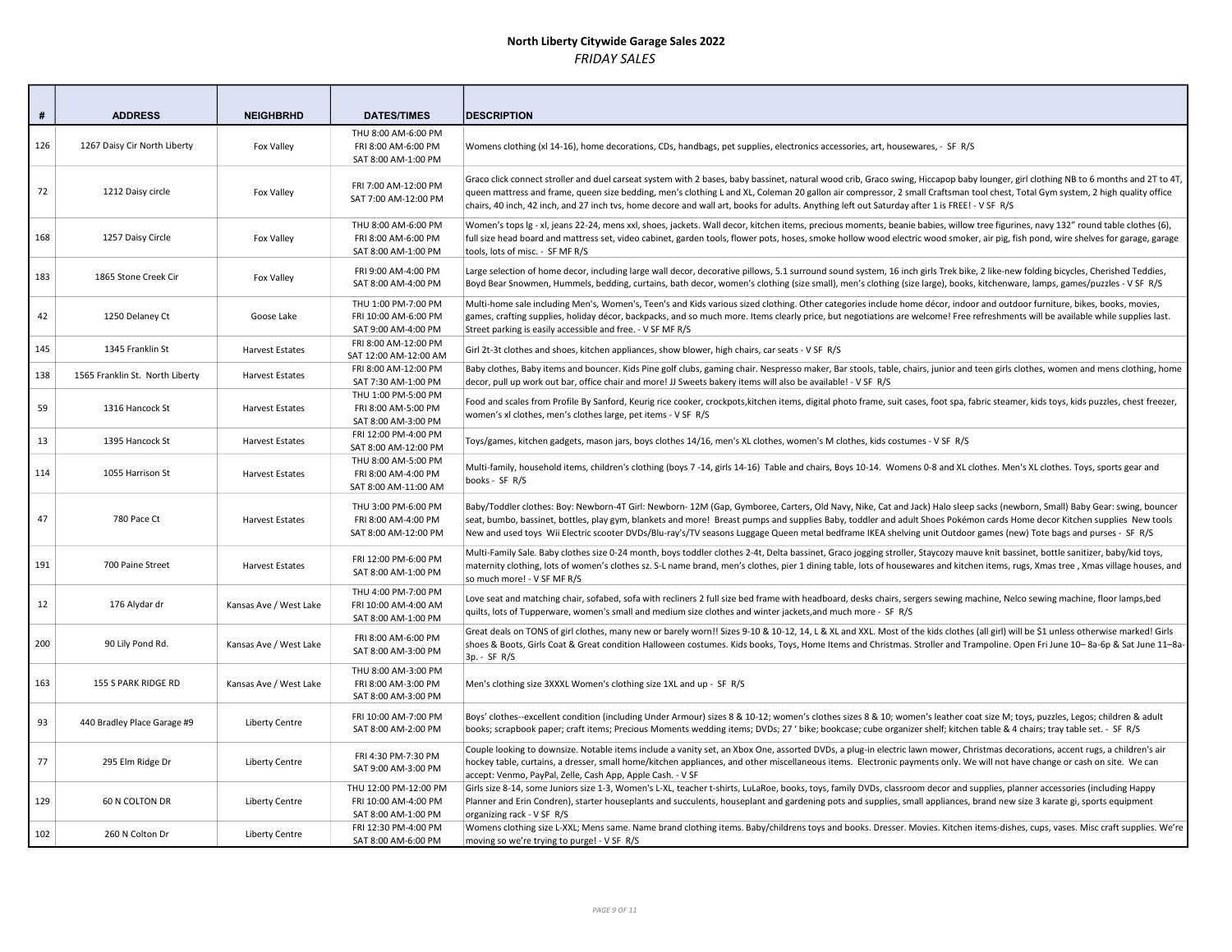| #   | <b>ADDRESS</b>                  | <b>NEIGHBRHD</b>       | <b>DATES/TIMES</b>                                                   | <b>DESCRIPTION</b>                                                                                                                                                                                                                                                                                                                                                                                                                                                                                                            |
|-----|---------------------------------|------------------------|----------------------------------------------------------------------|-------------------------------------------------------------------------------------------------------------------------------------------------------------------------------------------------------------------------------------------------------------------------------------------------------------------------------------------------------------------------------------------------------------------------------------------------------------------------------------------------------------------------------|
| 126 | 1267 Daisy Cir North Liberty    | Fox Valley             | THU 8:00 AM-6:00 PM<br>FRI 8:00 AM-6:00 PM<br>SAT 8:00 AM-1:00 PM    | Womens clothing (xl 14-16), home decorations, CDs, handbags, pet supplies, electronics accessories, art, housewares, - SF R/S                                                                                                                                                                                                                                                                                                                                                                                                 |
| 72  | 1212 Daisy circle               | Fox Valley             | FRI 7:00 AM-12:00 PM<br>SAT 7:00 AM-12:00 PM                         | Graco click connect stroller and duel carseat system with 2 bases, baby bassinet, natural wood crib, Graco swing, Hiccapop baby lounger, girl clothing NB to 6 months and 2T to 4T,<br>queen mattress and frame, queen size bedding, men's clothing L and XL, Coleman 20 gallon air compressor, 2 small Craftsman tool chest, Total Gym system, 2 high quality office<br>chairs, 40 inch, 42 inch, and 27 inch tvs, home decore and wall art, books for adults. Anything left out Saturday after 1 is FREE! - V SF R/S        |
| 168 | 1257 Daisy Circle               | Fox Valley             | THU 8:00 AM-6:00 PM<br>FRI 8:00 AM-6:00 PM<br>SAT 8:00 AM-1:00 PM    | Women's tops $ g - x $ , jeans 22-24, mens xxl, shoes, jackets. Wall decor, kitchen items, precious moments, beanie babies, willow tree figurines, navy 132" round table clothes (6),<br>full size head board and mattress set, video cabinet, garden tools, flower pots, hoses, smoke hollow wood electric wood smoker, air pig, fish pond, wire shelves for garage, garage<br>tools, lots of misc. - SF MF R/S                                                                                                              |
| 183 | 1865 Stone Creek Cir            | Fox Valley             | FRI 9:00 AM-4:00 PM<br>SAT 8:00 AM-4:00 PM                           | Large selection of home decor, including large wall decor, decorative pillows, 5.1 surround sound system, 16 inch girls Trek bike, 2 like-new folding bicycles, Cherished Teddies,<br>Boyd Bear Snowmen, Hummels, bedding, curtains, bath decor, women's clothing (size small), men's clothing (size large), books, kitchenware, lamps, games/puzzles - V SF R/S                                                                                                                                                              |
| 42  | 1250 Delaney Ct                 | Goose Lake             | THU 1:00 PM-7:00 PM<br>FRI 10:00 AM-6:00 PM<br>SAT 9:00 AM-4:00 PM   | Multi-home sale including Men's, Women's, Teen's and Kids various sized clothing. Other categories include home décor, indoor and outdoor furniture, bikes, books, movies,<br>games, crafting supplies, holiday décor, backpacks, and so much more. Items clearly price, but negotiations are welcome! Free refreshments will be available while supplies last.<br>Street parking is easily accessible and free. - V SF MF R/S                                                                                                |
| 145 | 1345 Franklin St                | Harvest Estates        | FRI 8:00 AM-12:00 PM<br>SAT 12:00 AM-12:00 AM                        | Girl 2t-3t clothes and shoes, kitchen appliances, show blower, high chairs, car seats - V SF R/S                                                                                                                                                                                                                                                                                                                                                                                                                              |
| 138 | 1565 Franklin St. North Liberty | <b>Harvest Estates</b> | FRI 8:00 AM-12:00 PM<br>SAT 7:30 AM-1:00 PM                          | Baby clothes, Baby items and bouncer. Kids Pine golf clubs, gaming chair. Nespresso maker, Bar stools, table, chairs, junior and teen girls clothes, women and mens clothing, home<br>decor, pull up work out bar, office chair and more! JJ Sweets bakery items will also be available! - V SF R/S                                                                                                                                                                                                                           |
| 59  | 1316 Hancock St                 | Harvest Estates        | THU 1:00 PM-5:00 PM<br>FRI 8:00 AM-5:00 PM<br>SAT 8:00 AM-3:00 PM    | Food and scales from Profile By Sanford, Keurig rice cooker, crockpots, kitchen items, digital photo frame, suit cases, foot spa, fabric steamer, kids toys, kids puzzles, chest freezer,<br>women's xl clothes, men's clothes large, pet items - V SF R/S                                                                                                                                                                                                                                                                    |
| 13  | 1395 Hancock St                 | Harvest Estates        | FRI 12:00 PM-4:00 PM<br>SAT 8:00 AM-12:00 PM                         | Toys/games, kitchen gadgets, mason jars, boys clothes 14/16, men's XL clothes, women's M clothes, kids costumes - V SF R/S                                                                                                                                                                                                                                                                                                                                                                                                    |
| 114 | 1055 Harrison St                | <b>Harvest Estates</b> | THU 8:00 AM-5:00 PM<br>FRI 8:00 AM-4:00 PM<br>SAT 8:00 AM-11:00 AM   | Multi-family, household items, children's clothing (boys 7-14, girls 14-16) Table and chairs, Boys 10-14. Womens 0-8 and XL clothes. Men's XL clothes. Toys, sports gear and<br>books - SF R/S                                                                                                                                                                                                                                                                                                                                |
| 47  | 780 Pace Ct                     | <b>Harvest Estates</b> | THU 3:00 PM-6:00 PM<br>FRI 8:00 AM-4:00 PM<br>SAT 8:00 AM-12:00 PM   | Baby/Toddler clothes: Boy: Newborn-4T Girl: Newborn- 12M (Gap, Gymboree, Carters, Old Navy, Nike, Cat and Jack) Halo sleep sacks (newborn, Small) Baby Gear: swing, bouncer<br>seat, bumbo, bassinet, bottles, play gym, blankets and more! Breast pumps and supplies Baby, toddler and adult Shoes Pokémon cards Home decor Kitchen supplies New tools<br>New and used toys Wii Electric scooter DVDs/Blu-ray's/TV seasons Luggage Queen metal bedframe IKEA shelving unit Outdoor games (new) Tote bags and purses - SF R/S |
| 191 | 700 Paine Street                | <b>Harvest Estates</b> | FRI 12:00 PM-6:00 PM<br>SAT 8:00 AM-1:00 PM                          | Multi-Family Sale. Baby clothes size 0-24 month, boys toddler clothes 2-4t, Delta bassinet, Graco jogging stroller, Staycozy mauve knit bassinet, bottle sanitizer, baby/kid toys,<br>maternity clothing, lots of women's clothes sz. S-L name brand, men's clothes, pier 1 dining table, lots of housewares and kitchen items, rugs, Xmas tree, Xmas village houses, and<br>so much more! - V SF MF R/S                                                                                                                      |
| 12  | 176 Alydar dr                   | Kansas Ave / West Lake | THU 4:00 PM-7:00 PM<br>FRI 10:00 AM-4:00 AM<br>SAT 8:00 AM-1:00 PM   | Love seat and matching chair, sofabed, sofa with recliners 2 full size bed frame with headboard, desks chairs, sergers sewing machine, Nelco sewing machine, floor lamps, bed<br>quilts, lots of Tupperware, women's small and medium size clothes and winter jackets, and much more - SF R/S                                                                                                                                                                                                                                 |
| 200 | 90 Lily Pond Rd.                | Kansas Ave / West Lake | FRI 8:00 AM-6:00 PM<br>SAT 8:00 AM-3:00 PM                           | Great deals on TONS of girl clothes, many new or barely worn!! Sizes 9-10 & 10-12, 14, L & XL and XXL. Most of the kids clothes (all girl) will be \$1 unless otherwise marked! Girls<br>shoes & Boots, Girls Coat & Great condition Halloween costumes. Kids books, Toys, Home Items and Christmas. Stroller and Trampoline. Open Fri June 10-8a-6p & Sat June 11-8a-<br>3p. - SF R/S                                                                                                                                        |
| 163 | 155 S PARK RIDGE RD             | Kansas Ave / West Lake | THU 8:00 AM-3:00 PM<br>FRI 8:00 AM-3:00 PM<br>SAT 8:00 AM-3:00 PM    | Men's clothing size 3XXXL Women's clothing size 1XL and up - SF R/S                                                                                                                                                                                                                                                                                                                                                                                                                                                           |
| 93  | 440 Bradley Place Garage #9     | <b>Liberty Centre</b>  | FRI 10:00 AM-7:00 PM<br>SAT 8:00 AM-2:00 PM                          | Boys' clothes--excellent condition (including Under Armour) sizes 8 & 10-12; women's clothes sizes 8 & 10; women's leather coat size M; toys, puzzles, Legos; children & adult<br>books; scrapbook paper; craft items; Precious Moments wedding items; DVDs; 27 'bike; bookcase; cube organizer shelf; kitchen table & 4 chairs; tray table set. - SF R/S                                                                                                                                                                     |
| 77  | 295 Elm Ridge Dr                | Liberty Centre         | FRI 4:30 PM-7:30 PM<br>SAT 9:00 AM-3:00 PM                           | Couple looking to downsize. Notable items include a vanity set, an Xbox One, assorted DVDs, a plug-in electric lawn mower, Christmas decorations, accent rugs, a children's air<br>hockey table, curtains, a dresser, small home/kitchen appliances, and other miscellaneous items. Electronic payments only. We will not have change or cash on site. We can<br>accept: Venmo, PayPal, Zelle, Cash App, Apple Cash. - V SF                                                                                                   |
| 129 | 60 N COLTON DR                  | Liberty Centre         | THU 12:00 PM-12:00 PM<br>FRI 10:00 AM-4:00 PM<br>SAT 8:00 AM-1:00 PM | Girls size 8-14, some Juniors size 1-3, Women's L-XL, teacher t-shirts, LuLaRoe, books, toys, family DVDs, classroom decor and supplies, planner accessories (including Happy<br>Planner and Erin Condren), starter houseplants and succulents, houseplant and gardening pots and supplies, small appliances, brand new size 3 karate gi, sports equipment<br>organizing rack - V SF R/S                                                                                                                                      |
| 102 | 260 N Colton Dr                 | <b>Liberty Centre</b>  | FRI 12:30 PM-4:00 PM<br>SAT 8:00 AM-6:00 PM                          | Womens clothing size L-XXL; Mens same. Name brand clothing items. Baby/childrens toys and books. Dresser. Movies. Kitchen items-dishes, cups, vases. Misc craft supplies. We're<br>moving so we're trying to purge! - V SF R/S                                                                                                                                                                                                                                                                                                |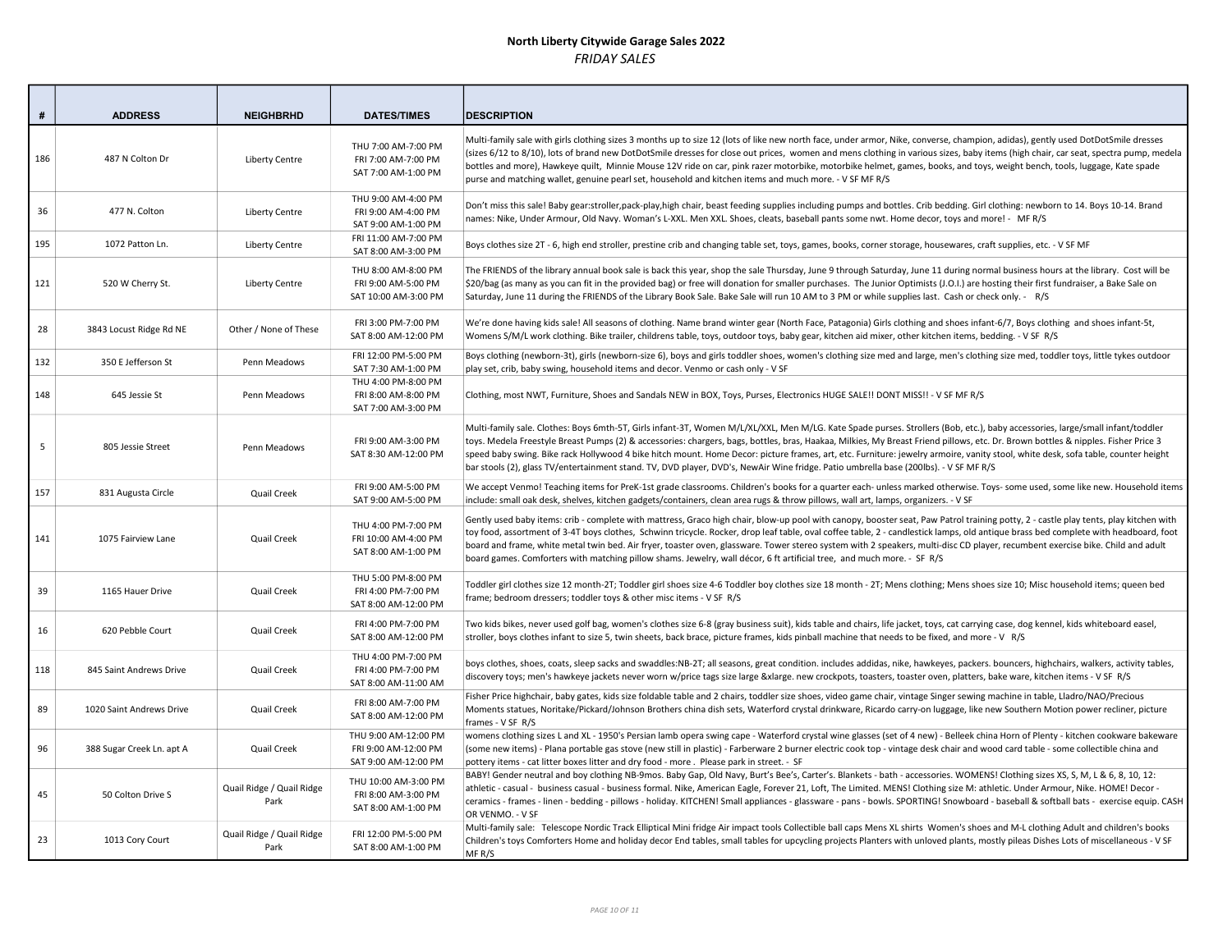| #   | <b>ADDRESS</b>            | <b>NEIGHBRHD</b>                  | <b>DATES/TIMES</b>                                                   | <b>DESCRIPTION</b>                                                                                                                                                                                                                                                                                                                                                                                                                                                                                                                                                                                                                                                                             |
|-----|---------------------------|-----------------------------------|----------------------------------------------------------------------|------------------------------------------------------------------------------------------------------------------------------------------------------------------------------------------------------------------------------------------------------------------------------------------------------------------------------------------------------------------------------------------------------------------------------------------------------------------------------------------------------------------------------------------------------------------------------------------------------------------------------------------------------------------------------------------------|
| 186 | 487 N Colton Dr           | Liberty Centre                    | THU 7:00 AM-7:00 PM<br>FRI 7:00 AM-7:00 PM<br>SAT 7:00 AM-1:00 PM    | Multi-family sale with girls clothing sizes 3 months up to size 12 (lots of like new north face, under armor, Nike, converse, champion, adidas), gently used DotDotSmile dresses<br>(sizes 6/12 to 8/10), lots of brand new DotDotSmile dresses for close out prices, women and mens clothing in various sizes, baby items (high chair, car seat, spectra pump, medela<br>bottles and more), Hawkeye quilt, Minnie Mouse 12V ride on car, pink razer motorbike, motorbike helmet, games, books, and toys, weight bench, tools, luggage, Kate spade<br>purse and matching wallet, genuine pearl set, household and kitchen items and much more. - V SF MF R/S                                   |
| 36  | 477 N. Colton             | Liberty Centre                    | THU 9:00 AM-4:00 PM<br>FRI 9:00 AM-4:00 PM<br>SAT 9:00 AM-1:00 PM    | Don't miss this sale! Baby gear:stroller,pack-play,high chair, beast feeding supplies including pumps and bottles. Crib bedding. Girl clothing: newborn to 14. Boys 10-14. Brand<br>names: Nike, Under Armour, Old Navy. Woman's L-XXL. Men XXL. Shoes, cleats, baseball pants some nwt. Home decor, toys and more! - MFR/S                                                                                                                                                                                                                                                                                                                                                                    |
| 195 | 1072 Patton Ln.           | <b>Liberty Centre</b>             | FRI 11:00 AM-7:00 PM<br>SAT 8:00 AM-3:00 PM                          | Boys clothes size 2T - 6, high end stroller, prestine crib and changing table set, toys, games, books, corner storage, housewares, craft supplies, etc. - V SF MF                                                                                                                                                                                                                                                                                                                                                                                                                                                                                                                              |
| 121 | 520 W Cherry St.          | Liberty Centre                    | THU 8:00 AM-8:00 PM<br>FRI 9:00 AM-5:00 PM<br>SAT 10:00 AM-3:00 PM   | The FRIENDS of the library annual book sale is back this year, shop the sale Thursday, June 9 through Saturday, June 11 during normal business hours at the library. Cost will be<br>\$20/bag (as many as you can fit in the provided bag) or free will donation for smaller purchases. The Junior Optimists (J.O.I.) are hosting their first fundraiser, a Bake Sale on<br>Saturday, June 11 during the FRIENDS of the Library Book Sale. Bake Sale will run 10 AM to 3 PM or while supplies last. Cash or check only. - R/S                                                                                                                                                                  |
| 28  | 3843 Locust Ridge Rd NE   | Other / None of These             | FRI 3:00 PM-7:00 PM<br>SAT 8:00 AM-12:00 PM                          | We're done having kids sale! All seasons of clothing. Name brand winter gear (North Face, Patagonia) Girls clothing and shoes infant-6/7, Boys clothing and shoes infant-5t,<br>Womens S/M/L work clothing. Bike trailer, childrens table, toys, outdoor toys, baby gear, kitchen aid mixer, other kitchen items, bedding. - V SF R/S                                                                                                                                                                                                                                                                                                                                                          |
| 132 | 350 E Jefferson St        | Penn Meadows                      | FRI 12:00 PM-5:00 PM<br>SAT 7:30 AM-1:00 PM                          | Boys clothing (newborn-3t), girls (newborn-size 6), boys and girls toddler shoes, women's clothing size med and large, men's clothing size med, toddler toys, little tykes outdoor<br>play set, crib, baby swing, household items and decor. Venmo or cash only - V SF                                                                                                                                                                                                                                                                                                                                                                                                                         |
| 148 | 645 Jessie St             | Penn Meadows                      | THU 4:00 PM-8:00 PM<br>FRI 8:00 AM-8:00 PM<br>SAT 7:00 AM-3:00 PM    | Clothing, most NWT, Furniture, Shoes and Sandals NEW in BOX, Toys, Purses, Electronics HUGE SALE!! DONT MISS!! - V SF MF R/S                                                                                                                                                                                                                                                                                                                                                                                                                                                                                                                                                                   |
| 5   | 805 Jessie Street         | Penn Meadows                      | FRI 9:00 AM-3:00 PM<br>SAT 8:30 AM-12:00 PM                          | Multi-family sale. Clothes: Boys 6mth-5T, Girls infant-3T, Women M/L/XL/XXL, Men M/LG. Kate Spade purses. Strollers (Bob, etc.), baby accessories, large/small infant/toddler<br>toys. Medela Freestyle Breast Pumps (2) & accessories: chargers, bags, bottles, bras, Haakaa, Milkies, My Breast Friend pillows, etc. Dr. Brown bottles & nipples. Fisher Price 3<br>speed baby swing. Bike rack Hollywood 4 bike hitch mount. Home Decor: picture frames, art, etc. Furniture: jewelry armoire, vanity stool, white desk, sofa table, counter height<br>bar stools (2), glass TV/entertainment stand. TV, DVD player, DVD's, NewAir Wine fridge. Patio umbrella base (200lbs). - V SF MF R/S |
| 157 | 831 Augusta Circle        | Quail Creek                       | FRI 9:00 AM-5:00 PM<br>SAT 9:00 AM-5:00 PM                           | We accept Venmo! Teaching items for PreK-1st grade classrooms. Children's books for a quarter each- unless marked otherwise. Toys- some used, some like new. Household items<br>include: small oak desk, shelves, kitchen gadgets/containers, clean area rugs & throw pillows, wall art, lamps, organizers. - V SF                                                                                                                                                                                                                                                                                                                                                                             |
| 141 | 1075 Fairview Lane        | Quail Creek                       | THU 4:00 PM-7:00 PM<br>FRI 10:00 AM-4:00 PM<br>SAT 8:00 AM-1:00 PM   | Gently used baby items: crib - complete with mattress, Graco high chair, blow-up pool with canopy, booster seat, Paw Patrol training potty, 2 - castle play tents, play kitchen with<br>toy food, assortment of 3-4T boys clothes, Schwinn tricycle. Rocker, drop leaf table, oval coffee table, 2 - candlestick lamps, old antique brass bed complete with headboard, foot<br>board and frame, white metal twin bed. Air fryer, toaster oven, glassware. Tower stereo system with 2 speakers, multi-disc CD player, recumbent exercise bike. Child and adult<br>board games. Comforters with matching pillow shams. Jewelry, wall décor, 6 ft artificial tree, and much more. - SF R/S        |
| 39  | 1165 Hauer Drive          | Quail Creek                       | THU 5:00 PM-8:00 PM<br>FRI 4:00 PM-7:00 PM<br>SAT 8:00 AM-12:00 PM   | Toddler girl clothes size 12 month-2T; Toddler girl shoes size 4-6 Toddler boy clothes size 18 month - 2T; Mens clothing; Mens shoes size 10; Misc household items; queen bed<br>frame; bedroom dressers; toddler toys & other misc items - V SF R/S                                                                                                                                                                                                                                                                                                                                                                                                                                           |
| 16  | 620 Pebble Court          | Quail Creek                       | FRI 4:00 PM-7:00 PM<br>SAT 8:00 AM-12:00 PM                          | Two kids bikes, never used golf bag, women's clothes size 6-8 (gray business suit), kids table and chairs, life jacket, toys, cat carrying case, dog kennel, kids whiteboard easel,<br>stroller, boys clothes infant to size 5, twin sheets, back brace, picture frames, kids pinball machine that needs to be fixed, and more - V R/S                                                                                                                                                                                                                                                                                                                                                         |
| 118 | 845 Saint Andrews Drive   | Quail Creek                       | THU 4:00 PM-7:00 PM<br>FRI 4:00 PM-7:00 PM<br>SAT 8:00 AM-11:00 AM   | boys clothes, shoes, coats, sleep sacks and swaddles:NB-2T; all seasons, great condition. includes addidas, nike, hawkeyes, packers. bouncers, highchairs, walkers, activity tables,<br>discovery toys; men's hawkeye jackets never worn w/price tags size large &xlarge. new crockpots, toasters, toaster oven, platters, bake ware, kitchen items - V SF R/S                                                                                                                                                                                                                                                                                                                                 |
| 89  | 1020 Saint Andrews Drive  | Quail Creek                       | FRI 8:00 AM-7:00 PM<br>SAT 8:00 AM-12:00 PM                          | Fisher Price highchair, baby gates, kids size foldable table and 2 chairs, toddler size shoes, video game chair, vintage Singer sewing machine in table, Lladro/NAO/Precious<br>Moments statues, Noritake/Pickard/Johnson Brothers china dish sets, Waterford crystal drinkware, Ricardo carry-on luggage, like new Southern Motion power recliner, picture<br>frames - V SF R/S                                                                                                                                                                                                                                                                                                               |
| 96  | 388 Sugar Creek Ln. apt A | Quail Creek                       | THU 9:00 AM-12:00 PM<br>FRI 9:00 AM-12:00 PM<br>SAT 9:00 AM-12:00 PM | womens clothing sizes L and XL - 1950's Persian lamb opera swing cape - Waterford crystal wine glasses (set of 4 new) - Belleek china Horn of Plenty - kitchen cookware bakeware<br>(some new items) - Plana portable gas stove (new still in plastic) - Farberware 2 burner electric cook top - vintage desk chair and wood card table - some collectible china and<br>pottery items - cat litter boxes litter and dry food - more. Please park in street. - SF                                                                                                                                                                                                                               |
| 45  | 50 Colton Drive S         | Quail Ridge / Quail Ridge<br>Park | THU 10:00 AM-3:00 PM<br>FRI 8:00 AM-3:00 PM<br>SAT 8:00 AM-1:00 PM   | BABY! Gender neutral and boy clothing NB-9mos. Baby Gap, Old Navy, Burt's Bee's, Carter's. Blankets - bath - accessories. WOMENS! Clothing sizes XS, S, M, L & 6, 8, 10, 12:<br>athletic - casual - business casual - business formal. Nike, American Eagle, Forever 21, Loft, The Limited. MENS! Clothing size M: athletic. Under Armour, Nike. HOME! Decor -<br>ceramics - frames - linen - bedding - pillows - holiday. KITCHEN! Small appliances - glassware - pans - bowls. SPORTING! Snowboard - baseball & softball bats - exercise equip. CASH<br>OR VENMO. - V SF                                                                                                                     |
| 23  | 1013 Cory Court           | Quail Ridge / Quail Ridge<br>Park | FRI 12:00 PM-5:00 PM<br>SAT 8:00 AM-1:00 PM                          | Multi-family sale: Telescope Nordic Track Elliptical Mini fridge Air impact tools Collectible ball caps Mens XL shirts Women's shoes and M-L clothing Adult and children's books<br>Children's toys Comforters Home and holiday decor End tables, small tables for upcycling projects Planters with unloved plants, mostly pileas Dishes Lots of miscellaneous - V SF<br>MF R/S                                                                                                                                                                                                                                                                                                                |